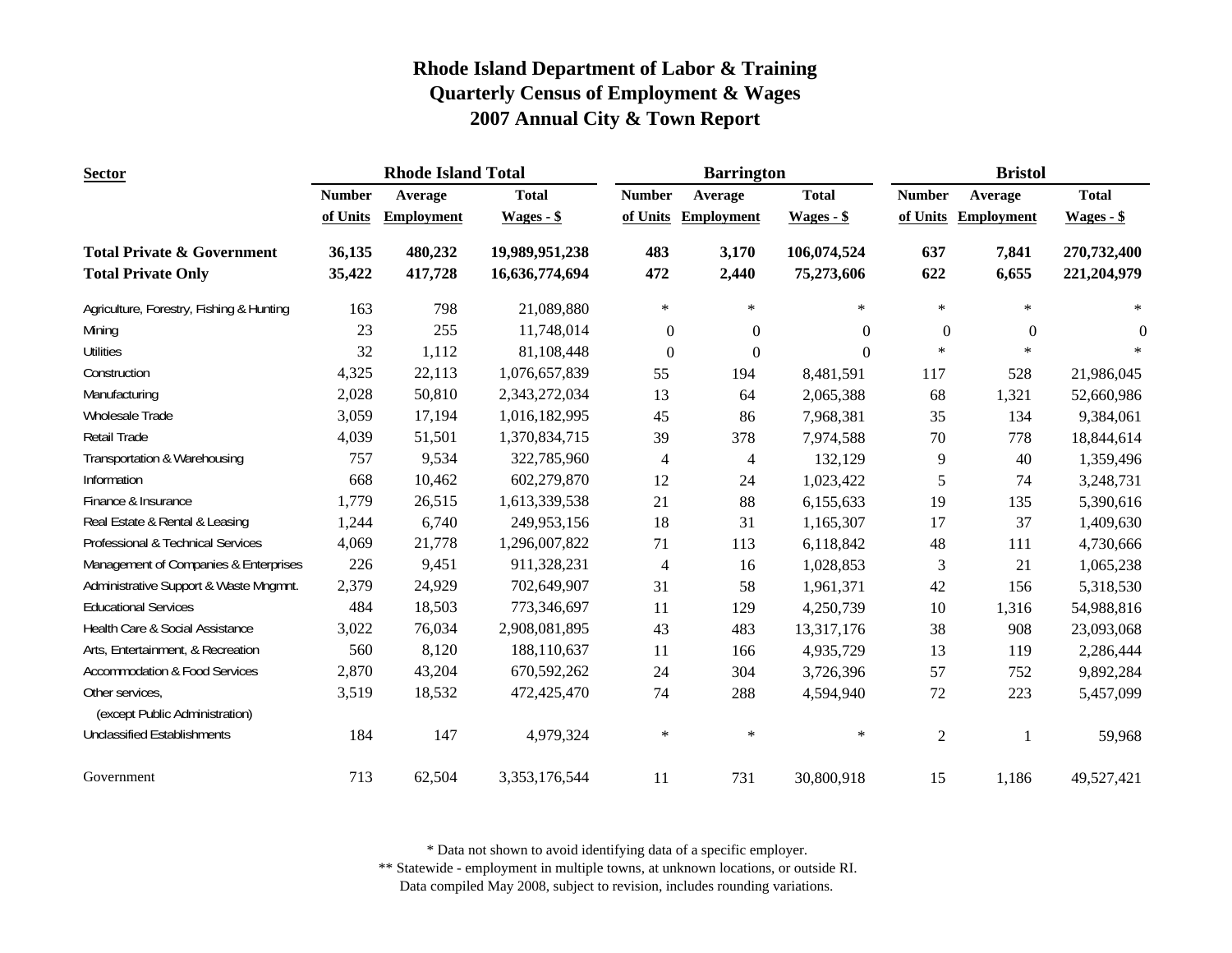| <b>Sector</b>                                     |               | <b>Rhode Island Total</b> |                |                          | <b>Barrington</b> |              | <b>Bristol</b> |                   |                |
|---------------------------------------------------|---------------|---------------------------|----------------|--------------------------|-------------------|--------------|----------------|-------------------|----------------|
|                                                   | <b>Number</b> | Average                   | <b>Total</b>   | <b>Number</b>            | Average           | <b>Total</b> | <b>Number</b>  | Average           | <b>Total</b>   |
|                                                   | of Units      | <b>Employment</b>         | $Wages - $$    | of Units                 | <b>Employment</b> | $Wages - $$  | of Units       | <b>Employment</b> | $Wages - $$    |
| <b>Total Private &amp; Government</b>             | 36,135        | 480,232                   | 19,989,951,238 | 483                      | 3,170             | 106,074,524  | 637            | 7,841             | 270,732,400    |
| <b>Total Private Only</b>                         | 35,422        | 417,728                   | 16,636,774,694 | 472                      | 2,440             | 75,273,606   | 622            | 6,655             | 221,204,979    |
| Agriculture, Forestry, Fishing & Hunting          | 163           | 798                       | 21,089,880     | $\ast$                   | $\ast$            | $\ast$       | $\ast$         | $\ast$            | $\ast$         |
| Mining                                            | 23            | 255                       | 11,748,014     | $\boldsymbol{0}$         | $\mathbf{0}$      | $\Omega$     | $\mathbf{0}$   | $\overline{0}$    | $\overline{0}$ |
| <b>Utilities</b>                                  | 32            | 1,112                     | 81,108,448     | $\mathbf{0}$             | $\boldsymbol{0}$  | $\Omega$     | $\ast$         | $\ast$            |                |
| Construction                                      | 4,325         | 22,113                    | 1,076,657,839  | 55                       | 194               | 8,481,591    | 117            | 528               | 21,986,045     |
| Manufacturing                                     | 2,028         | 50,810                    | 2,343,272,034  | 13                       | 64                | 2,065,388    | 68             | 1,321             | 52,660,986     |
| Wholesale Trade                                   | 3,059         | 17,194                    | 1,016,182,995  | 45                       | 86                | 7,968,381    | 35             | 134               | 9,384,061      |
| <b>Retail Trade</b>                               | 4,039         | 51,501                    | 1,370,834,715  | 39                       | 378               | 7,974,588    | $70\,$         | 778               | 18,844,614     |
| Transportation & Warehousing                      | 757           | 9,534                     | 322,785,960    | $\overline{\mathcal{A}}$ | $\overline{4}$    | 132,129      | 9              | 40                | 1,359,496      |
| Information                                       | 668           | 10,462                    | 602,279,870    | 12                       | 24                | 1,023,422    | $\sqrt{5}$     | 74                | 3,248,731      |
| Finance & Insurance                               | 1,779         | 26,515                    | 1,613,339,538  | 21                       | 88                | 6,155,633    | 19             | 135               | 5,390,616      |
| Real Estate & Rental & Leasing                    | 1,244         | 6,740                     | 249,953,156    | 18                       | 31                | 1,165,307    | 17             | 37                | 1,409,630      |
| Professional & Technical Services                 | 4,069         | 21,778                    | 1,296,007,822  | 71                       | 113               | 6,118,842    | 48             | 111               | 4,730,666      |
| Management of Companies & Enterprises             | 226           | 9,451                     | 911,328,231    | $\overline{\mathcal{A}}$ | 16                | 1,028,853    | 3              | 21                | 1,065,238      |
| Administrative Support & Waste Mngmnt.            | 2,379         | 24,929                    | 702,649,907    | 31                       | 58                | 1,961,371    | 42             | 156               | 5,318,530      |
| <b>Educational Services</b>                       | 484           | 18,503                    | 773,346,697    | 11                       | 129               | 4,250,739    | 10             | 1,316             | 54,988,816     |
| Health Care & Social Assistance                   | 3,022         | 76,034                    | 2,908,081,895  | 43                       | 483               | 13,317,176   | 38             | 908               | 23,093,068     |
| Arts, Entertainment, & Recreation                 | 560           | 8,120                     | 188,110,637    | 11                       | 166               | 4,935,729    | 13             | 119               | 2,286,444      |
| <b>Accommodation &amp; Food Services</b>          | 2,870         | 43,204                    | 670,592,262    | 24                       | 304               | 3,726,396    | 57             | 752               | 9,892,284      |
| Other services,<br>(except Public Administration) | 3,519         | 18,532                    | 472,425,470    | 74                       | 288               | 4,594,940    | $72\,$         | 223               | 5,457,099      |
| <b>Unclassified Establishments</b>                | 184           | 147                       | 4,979,324      | $\ast$                   | $\ast$            | $\ast$       | $\sqrt{2}$     | -1                | 59,968         |
| Government                                        | 713           | 62,504                    | 3,353,176,544  | 11                       | 731               | 30,800,918   | 15             | 1,186             | 49,527,421     |

\* Data not shown to avoid identifying data of a specific employer.

\*\* Statewide - employment in multiple towns, at unknown locations, or outside RI.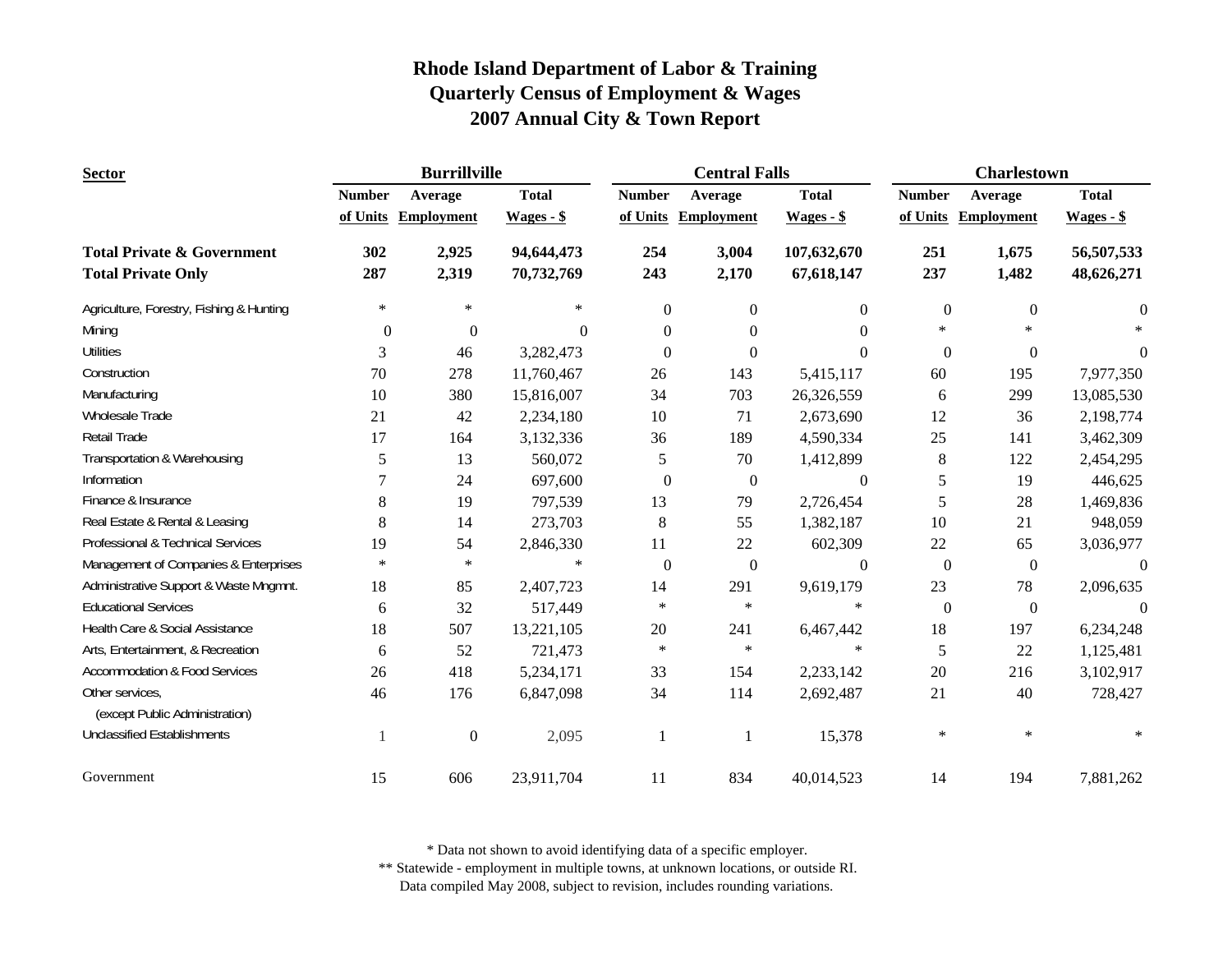| <b>Sector</b>                            |               | <b>Burrillville</b> |                |                  | <b>Central Falls</b> |                  | <b>Charlestown</b> |                   |                  |
|------------------------------------------|---------------|---------------------|----------------|------------------|----------------------|------------------|--------------------|-------------------|------------------|
|                                          | <b>Number</b> | Average             | <b>Total</b>   | <b>Number</b>    | Average              | <b>Total</b>     | <b>Number</b>      | Average           | <b>Total</b>     |
|                                          | of Units      | <b>Employment</b>   | $Wages - $$    | of Units         | <b>Employment</b>    | $Wages - $$      | of Units           | <b>Employment</b> | $Wages - $$      |
| <b>Total Private &amp; Government</b>    | 302           | 2,925               | 94,644,473     | 254              | 3,004                | 107,632,670      | 251                | 1,675             | 56,507,533       |
| <b>Total Private Only</b>                | 287           | 2,319               | 70,732,769     | 243              | 2,170                | 67,618,147       | 237                | 1,482             | 48,626,271       |
| Agriculture, Forestry, Fishing & Hunting | $\ast$        | $\ast$              | $\ast$         | $\theta$         | $\overline{0}$       | $\theta$         | $\boldsymbol{0}$   | $\mathbf{0}$      | $\boldsymbol{0}$ |
| Mining                                   | $\theta$      | $\boldsymbol{0}$    | $\overline{0}$ | $\Omega$         | $\theta$             | $\Omega$         | $\ast$             | $\ast$            |                  |
| <b>Utilities</b>                         | 3             | 46                  | 3,282,473      | $\Omega$         | $\Omega$             | $\Omega$         | $\mathbf{0}$       | $\mathbf{0}$      | $\theta$         |
| Construction                             | 70            | 278                 | 11,760,467     | 26               | 143                  | 5,415,117        | 60                 | 195               | 7,977,350        |
| Manufacturing                            | 10            | 380                 | 15,816,007     | 34               | 703                  | 26,326,559       | 6                  | 299               | 13,085,530       |
| Wholesale Trade                          | 21            | 42                  | 2,234,180      | 10               | 71                   | 2,673,690        | 12                 | 36                | 2,198,774        |
| Retail Trade                             | 17            | 164                 | 3,132,336      | 36               | 189                  | 4,590,334        | 25                 | 141               | 3,462,309        |
| Transportation & Warehousing             | 5             | 13                  | 560,072        | 5                | 70                   | 1,412,899        | $8\,$              | 122               | 2,454,295        |
| Information                              | 7             | 24                  | 697,600        | $\theta$         | $\mathbf{0}$         | $\mathbf{0}$     | 5                  | 19                | 446,625          |
| Finance & Insurance                      | 8             | 19                  | 797,539        | 13               | 79                   | 2,726,454        | 5                  | 28                | 1,469,836        |
| Real Estate & Rental & Leasing           | 8             | 14                  | 273,703        | $\,8\,$          | 55                   | 1,382,187        | 10                 | 21                | 948,059          |
| Professional & Technical Services        | 19            | 54                  | 2,846,330      | 11               | 22                   | 602,309          | 22                 | 65                | 3,036,977        |
| Management of Companies & Enterprises    | $\ast$        | $\ast$              | $\ast$         | $\boldsymbol{0}$ | $\boldsymbol{0}$     | $\boldsymbol{0}$ | $\boldsymbol{0}$   | $\boldsymbol{0}$  | $\boldsymbol{0}$ |
| Administrative Support & Waste Mngmnt.   | 18            | 85                  | 2,407,723      | 14               | 291                  | 9,619,179        | 23                 | 78                | 2,096,635        |
| <b>Educational Services</b>              | 6             | 32                  | 517,449        | $\ast$           | $\ast$               | $\ast$           | $\boldsymbol{0}$   | $\boldsymbol{0}$  | $\Omega$         |
| Health Care & Social Assistance          | 18            | 507                 | 13,221,105     | 20               | 241                  | 6,467,442        | 18                 | 197               | 6,234,248        |
| Arts, Entertainment, & Recreation        | 6             | 52                  | 721,473        | $\ast$           | $\ast$               | $\ast$           | 5                  | 22                | 1,125,481        |
| <b>Accommodation &amp; Food Services</b> | 26            | 418                 | 5,234,171      | 33               | 154                  | 2,233,142        | 20                 | 216               | 3,102,917        |
| Other services,                          | 46            | 176                 | 6,847,098      | 34               | 114                  | 2,692,487        | 21                 | 40                | 728,427          |
| (except Public Administration)           |               |                     |                |                  |                      |                  |                    |                   |                  |
| <b>Unclassified Establishments</b>       |               | $\boldsymbol{0}$    | 2,095          | 1                |                      | 15,378           | $\ast$             | $\ast$            |                  |
| Government                               | 15            | 606                 | 23,911,704     | 11               | 834                  | 40,014,523       | 14                 | 194               | 7,881,262        |

\* Data not shown to avoid identifying data of a specific employer.

\*\* Statewide - employment in multiple towns, at unknown locations, or outside RI.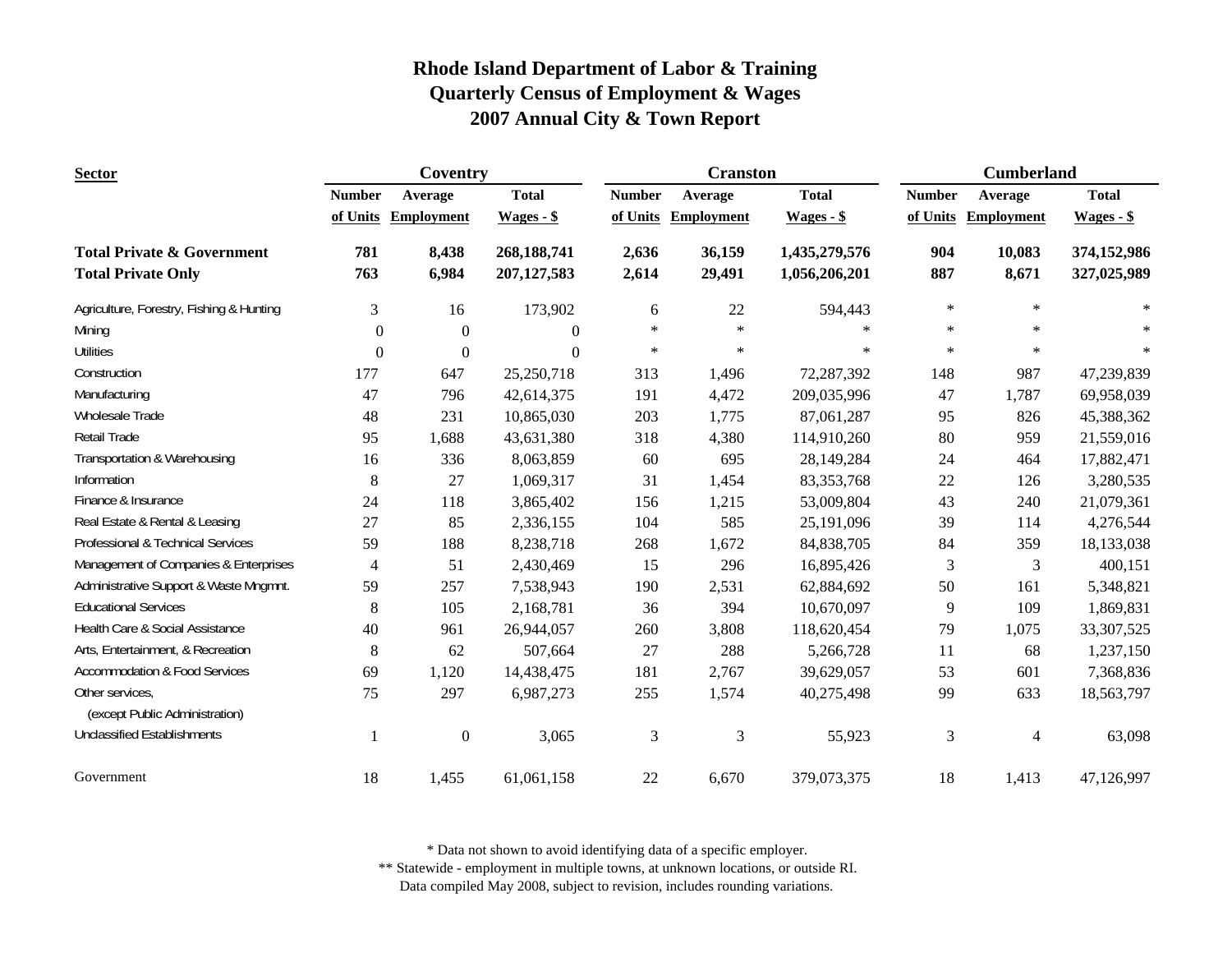| <b>Sector</b>                                     | Coventry       |                   |               |               | <b>Cranston</b>   |               | <b>Cumberland</b> |                   |              |
|---------------------------------------------------|----------------|-------------------|---------------|---------------|-------------------|---------------|-------------------|-------------------|--------------|
|                                                   | <b>Number</b>  | Average           | <b>Total</b>  | <b>Number</b> | Average           | <b>Total</b>  | <b>Number</b>     | Average           | <b>Total</b> |
|                                                   | of Units       | <b>Employment</b> | $Wages - $$   | of Units      | <b>Employment</b> | $Wages - $$   | of Units          | <b>Employment</b> | $Wages - $$  |
| <b>Total Private &amp; Government</b>             | 781            | 8,438             | 268,188,741   | 2,636         | 36,159            | 1,435,279,576 | 904               | 10,083            | 374,152,986  |
| <b>Total Private Only</b>                         | 763            | 6,984             | 207, 127, 583 | 2,614         | 29,491            | 1,056,206,201 | 887               | 8,671             | 327,025,989  |
| Agriculture, Forestry, Fishing & Hunting          | 3              | 16                | 173,902       | 6             | 22                | 594,443       | $\ast$            | $\ast$            | $\ast$       |
| Mining                                            | $\theta$       | $\overline{0}$    | $\theta$      | $\ast$        | $\ast$            | $\ast$        | $\ast$            | $\ast$            |              |
| <b>Utilities</b>                                  | $\theta$       | $\overline{0}$    | $\Omega$      | $\ast$        | $\ast$            | $\ast$        | $\ast$            | $\ast$            | $\ast$       |
| Construction                                      | 177            | 647               | 25,250,718    | 313           | 1,496             | 72,287,392    | 148               | 987               | 47,239,839   |
| Manufacturing                                     | 47             | 796               | 42,614,375    | 191           | 4,472             | 209,035,996   | 47                | 1,787             | 69,958,039   |
| Wholesale Trade                                   | 48             | 231               | 10,865,030    | 203           | 1,775             | 87,061,287    | 95                | 826               | 45,388,362   |
| Retail Trade                                      | 95             | 1,688             | 43,631,380    | 318           | 4,380             | 114,910,260   | 80                | 959               | 21,559,016   |
| Transportation & Warehousing                      | 16             | 336               | 8,063,859     | 60            | 695               | 28,149,284    | 24                | 464               | 17,882,471   |
| Information                                       | 8              | 27                | 1,069,317     | 31            | 1,454             | 83, 353, 768  | 22                | 126               | 3,280,535    |
| Finance & Insurance                               | 24             | 118               | 3,865,402     | 156           | 1,215             | 53,009,804    | 43                | 240               | 21,079,361   |
| Real Estate & Rental & Leasing                    | 27             | 85                | 2,336,155     | 104           | 585               | 25,191,096    | 39                | 114               | 4,276,544    |
| Professional & Technical Services                 | 59             | 188               | 8,238,718     | 268           | 1,672             | 84,838,705    | 84                | 359               | 18,133,038   |
| Management of Companies & Enterprises             | $\overline{4}$ | 51                | 2,430,469     | 15            | 296               | 16,895,426    | 3                 | 3                 | 400,151      |
| Administrative Support & Waste Mngmnt.            | 59             | 257               | 7,538,943     | 190           | 2,531             | 62,884,692    | 50                | 161               | 5,348,821    |
| <b>Educational Services</b>                       | 8              | 105               | 2,168,781     | 36            | 394               | 10,670,097    | 9                 | 109               | 1,869,831    |
| Health Care & Social Assistance                   | 40             | 961               | 26,944,057    | 260           | 3,808             | 118,620,454   | 79                | 1,075             | 33, 307, 525 |
| Arts, Entertainment, & Recreation                 | 8              | 62                | 507,664       | 27            | 288               | 5,266,728     | 11                | 68                | 1,237,150    |
| <b>Accommodation &amp; Food Services</b>          | 69             | 1,120             | 14,438,475    | 181           | 2,767             | 39,629,057    | 53                | 601               | 7,368,836    |
| Other services,<br>(except Public Administration) | 75             | 297               | 6,987,273     | 255           | 1,574             | 40,275,498    | 99                | 633               | 18,563,797   |
| <b>Unclassified Establishments</b>                | $\mathbf{1}$   | $\boldsymbol{0}$  | 3,065         | 3             | 3                 | 55,923        | 3                 | 4                 | 63,098       |
| Government                                        | 18             | 1,455             | 61,061,158    | 22            | 6,670             | 379,073,375   | 18                | 1,413             | 47,126,997   |

\* Data not shown to avoid identifying data of a specific employer.

\*\* Statewide - employment in multiple towns, at unknown locations, or outside RI.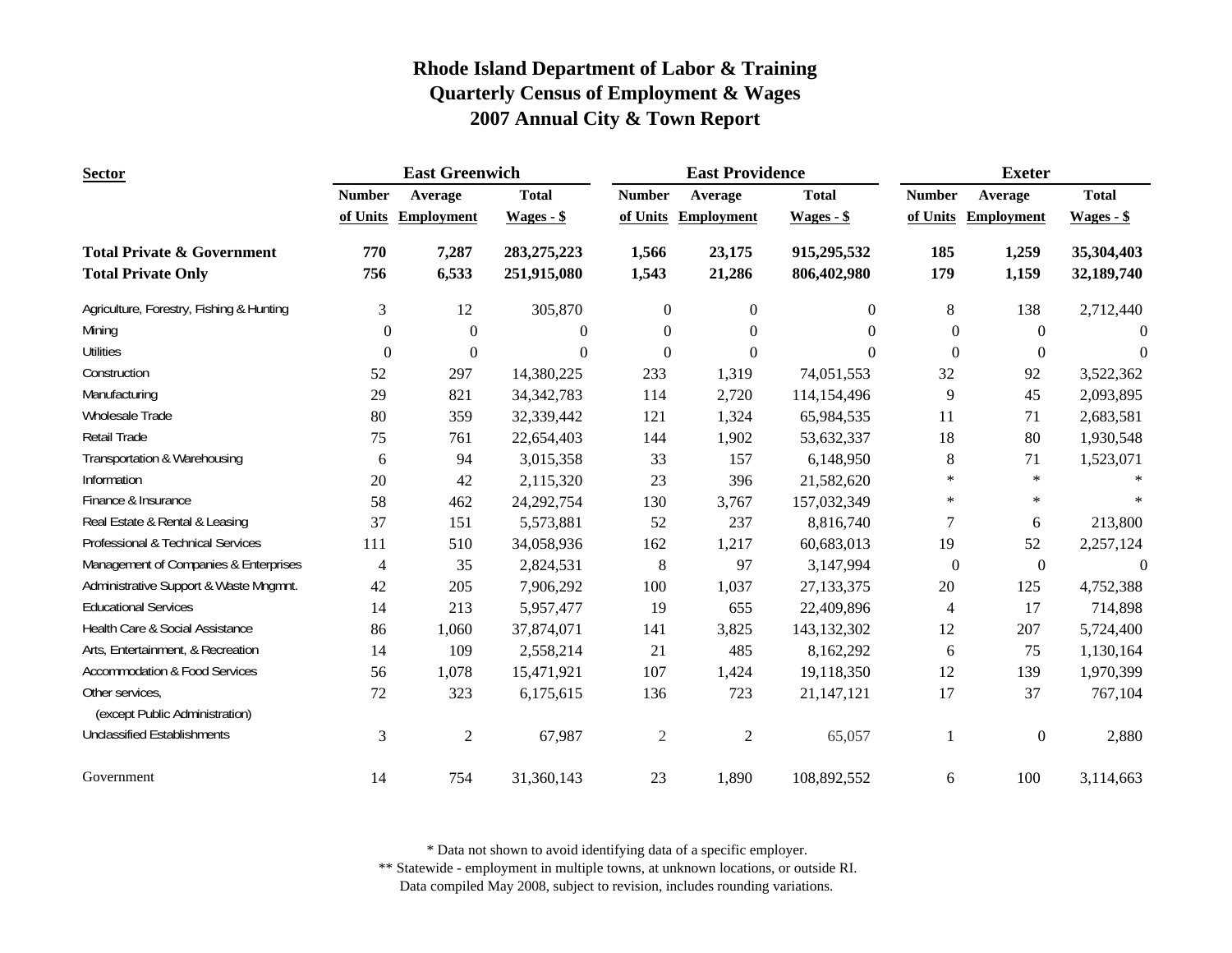| <b>Sector</b>                            |                | <b>East Greenwich</b> |               |                | <b>East Providence</b> |               | <b>Exeter</b>    |                     |                  |
|------------------------------------------|----------------|-----------------------|---------------|----------------|------------------------|---------------|------------------|---------------------|------------------|
|                                          | <b>Number</b>  | Average               | <b>Total</b>  | <b>Number</b>  | Average                | <b>Total</b>  | <b>Number</b>    | Average             | <b>Total</b>     |
|                                          | of Units       | <b>Employment</b>     | Wages - \$    | of Units       | <b>Employment</b>      | $Wages - $$   |                  | of Units Employment | $Wages - $$      |
| <b>Total Private &amp; Government</b>    | 770            | 7,287                 | 283, 275, 223 | 1,566          | 23,175                 | 915,295,532   | 185              | 1,259               | 35,304,403       |
| <b>Total Private Only</b>                | 756            | 6,533                 | 251,915,080   | 1,543          | 21,286                 | 806,402,980   | 179              | 1,159               | 32,189,740       |
| Agriculture, Forestry, Fishing & Hunting | 3              | 12                    | 305,870       | $\overline{0}$ | $\overline{0}$         | $\mathbf{0}$  | 8                | 138                 | 2,712,440        |
| Mining                                   | $\Omega$       | $\mathbf{0}$          | $\mathbf{0}$  | $\overline{0}$ | $\Omega$               | $\Omega$      | $\Omega$         | $\theta$            | $\Omega$         |
| <b>Utilities</b>                         | $\overline{0}$ | $\boldsymbol{0}$      | $\Omega$      | $\theta$       | $\overline{0}$         | $\Omega$      | $\Omega$         | $\Omega$            | $\overline{0}$   |
| Construction                             | 52             | 297                   | 14,380,225    | 233            | 1,319                  | 74,051,553    | 32               | 92                  | 3,522,362        |
| Manufacturing                            | 29             | 821                   | 34, 342, 783  | 114            | 2,720                  | 114,154,496   | 9                | 45                  | 2,093,895        |
| Wholesale Trade                          | 80             | 359                   | 32,339,442    | 121            | 1,324                  | 65,984,535    | 11               | 71                  | 2,683,581        |
| Retail Trade                             | 75             | 761                   | 22,654,403    | 144            | 1,902                  | 53,632,337    | 18               | 80                  | 1,930,548        |
| Transportation & Warehousing             | 6              | 94                    | 3,015,358     | 33             | 157                    | 6,148,950     | 8                | 71                  | 1,523,071        |
| Information                              | 20             | 42                    | 2,115,320     | 23             | 396                    | 21,582,620    | $\ast$           | $\ast$              |                  |
| Finance & Insurance                      | 58             | 462                   | 24, 292, 754  | 130            | 3,767                  | 157,032,349   | $\ast$           | $\ast$              |                  |
| Real Estate & Rental & Leasing           | 37             | 151                   | 5,573,881     | 52             | 237                    | 8,816,740     | 7                | 6                   | 213,800          |
| Professional & Technical Services        | 111            | 510                   | 34,058,936    | 162            | 1,217                  | 60,683,013    | 19               | 52                  | 2,257,124        |
| Management of Companies & Enterprises    | $\overline{4}$ | 35                    | 2,824,531     | $8\,$          | 97                     | 3,147,994     | $\boldsymbol{0}$ | $\boldsymbol{0}$    | $\boldsymbol{0}$ |
| Administrative Support & Waste Mngmnt.   | 42             | 205                   | 7,906,292     | 100            | 1,037                  | 27,133,375    | 20               | 125                 | 4,752,388        |
| <b>Educational Services</b>              | 14             | 213                   | 5,957,477     | 19             | 655                    | 22,409,896    | $\overline{4}$   | 17                  | 714,898          |
| Health Care & Social Assistance          | 86             | 1,060                 | 37,874,071    | 141            | 3,825                  | 143, 132, 302 | 12               | 207                 | 5,724,400        |
| Arts, Entertainment, & Recreation        | 14             | 109                   | 2,558,214     | 21             | 485                    | 8,162,292     | 6                | 75                  | 1,130,164        |
| <b>Accommodation &amp; Food Services</b> | 56             | 1,078                 | 15,471,921    | 107            | 1,424                  | 19,118,350    | 12               | 139                 | 1,970,399        |
| Other services,                          | 72             | 323                   | 6,175,615     | 136            | 723                    | 21,147,121    | 17               | 37                  | 767,104          |
| (except Public Administration)           |                |                       |               |                |                        |               |                  |                     |                  |
| <b>Unclassified Establishments</b>       | 3              | $\overline{2}$        | 67,987        | $\overline{2}$ | $\mathfrak{2}$         | 65,057        |                  | $\boldsymbol{0}$    | 2,880            |
| Government                               | 14             | 754                   | 31,360,143    | 23             | 1,890                  | 108,892,552   | 6                | 100                 | 3,114,663        |

\* Data not shown to avoid identifying data of a specific employer.

\*\* Statewide - employment in multiple towns, at unknown locations, or outside RI.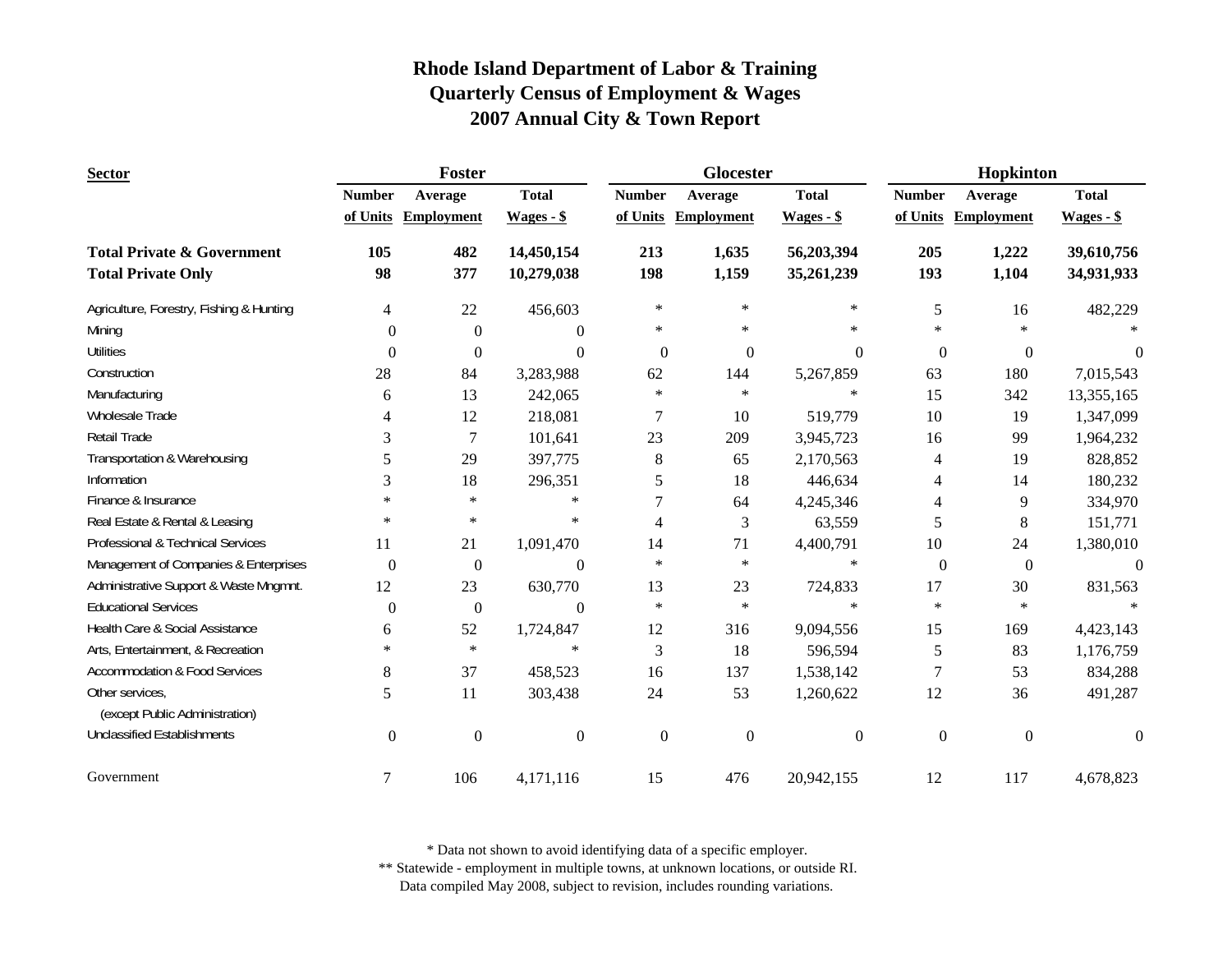| <b>Sector</b>                            |                  | Foster            |                  |                  | Glocester         |                  | Hopkinton        |                   |                |
|------------------------------------------|------------------|-------------------|------------------|------------------|-------------------|------------------|------------------|-------------------|----------------|
|                                          | <b>Number</b>    | Average           | <b>Total</b>     | <b>Number</b>    | Average           | <b>Total</b>     | <b>Number</b>    | Average           | <b>Total</b>   |
|                                          | of Units         | <b>Employment</b> | $Wages - $$      | of Units         | <b>Employment</b> | $Wages - $$      | of Units         | <b>Employment</b> | $Wages - $$    |
| <b>Total Private &amp; Government</b>    | 105              | 482               | 14,450,154       | 213              | 1,635             | 56,203,394       | 205              | 1,222             | 39,610,756     |
| <b>Total Private Only</b>                | 98               | 377               | 10,279,038       | 198              | 1,159             | 35,261,239       | 193              | 1,104             | 34,931,933     |
| Agriculture, Forestry, Fishing & Hunting | 4                | 22                | 456,603          | $\ast$           | $\ast$            | $\ast$           | 5                | 16                | 482,229        |
| Mining                                   | $\Omega$         | $\mathbf{0}$      | $\Omega$         | $\ast$           | $\ast$            | *                | $\ast$           | $\ast$            |                |
| <b>Utilities</b>                         | $\overline{0}$   | $\theta$          | $\theta$         | $\theta$         | $\mathbf{0}$      | $\Omega$         | $\theta$         | $\overline{0}$    | $\Omega$       |
| Construction                             | 28               | 84                | 3,283,988        | 62               | 144               | 5,267,859        | 63               | 180               | 7,015,543      |
| Manufacturing                            | 6                | 13                | 242,065          | $\ast$           | $\ast$            | $\ast$           | 15               | 342               | 13,355,165     |
| Wholesale Trade                          | 4                | 12                | 218,081          | 7                | 10                | 519,779          | 10               | 19                | 1,347,099      |
| Retail Trade                             | 3                | $\overline{7}$    | 101,641          | 23               | 209               | 3,945,723        | 16               | 99                | 1,964,232      |
| Transportation & Warehousing             | 5                | 29                | 397,775          | $\,8\,$          | 65                | 2,170,563        | $\overline{4}$   | 19                | 828,852        |
| Information                              | 3                | 18                | 296,351          | 5                | 18                | 446,634          | $\overline{4}$   | 14                | 180,232        |
| Finance & Insurance                      | $\ast$           | $\ast$            | $\ast$           | 7                | 64                | 4,245,346        | $\overline{4}$   | 9                 | 334,970        |
| Real Estate & Rental & Leasing           | $\ast$           | $\ast$            | $\ast$           | 4                | 3                 | 63,559           | 5                | $\,8\,$           | 151,771        |
| Professional & Technical Services        | 11               | 21                | 1,091,470        | 14               | 71                | 4,400,791        | 10               | 24                | 1,380,010      |
| Management of Companies & Enterprises    | $\boldsymbol{0}$ | $\boldsymbol{0}$  | $\boldsymbol{0}$ | $\ast$           | $\ast$            | $\ast$           | $\boldsymbol{0}$ | $\boldsymbol{0}$  | $\overline{0}$ |
| Administrative Support & Waste Mngmnt.   | 12               | 23                | 630,770          | 13               | 23                | 724,833          | 17               | 30                | 831,563        |
| <b>Educational Services</b>              | $\theta$         | $\boldsymbol{0}$  | $\theta$         | $\ast$           | $\ast$            | $\ast$           | $\ast$           | $\ast$            |                |
| Health Care & Social Assistance          | 6                | 52                | 1,724,847        | 12               | 316               | 9,094,556        | 15               | 169               | 4,423,143      |
| Arts, Entertainment, & Recreation        | $\ast$           | $\ast$            | $\ast$           | 3                | 18                | 596,594          | 5                | 83                | 1,176,759      |
| <b>Accommodation &amp; Food Services</b> | 8                | 37                | 458,523          | 16               | 137               | 1,538,142        | 7                | 53                | 834,288        |
| Other services,                          | 5                | 11                | 303,438          | 24               | 53                | 1,260,622        | 12               | 36                | 491,287        |
| (except Public Administration)           |                  |                   |                  |                  |                   |                  |                  |                   |                |
| <b>Unclassified Establishments</b>       | $\boldsymbol{0}$ | $\mathbf{0}$      | $\overline{0}$   | $\boldsymbol{0}$ | $\mathbf{0}$      | $\boldsymbol{0}$ | $\boldsymbol{0}$ | $\boldsymbol{0}$  | $\theta$       |
| Government                               | $\tau$           | 106               | 4,171,116        | 15               | 476               | 20,942,155       | 12               | 117               | 4,678,823      |

\* Data not shown to avoid identifying data of a specific employer.

\*\* Statewide - employment in multiple towns, at unknown locations, or outside RI.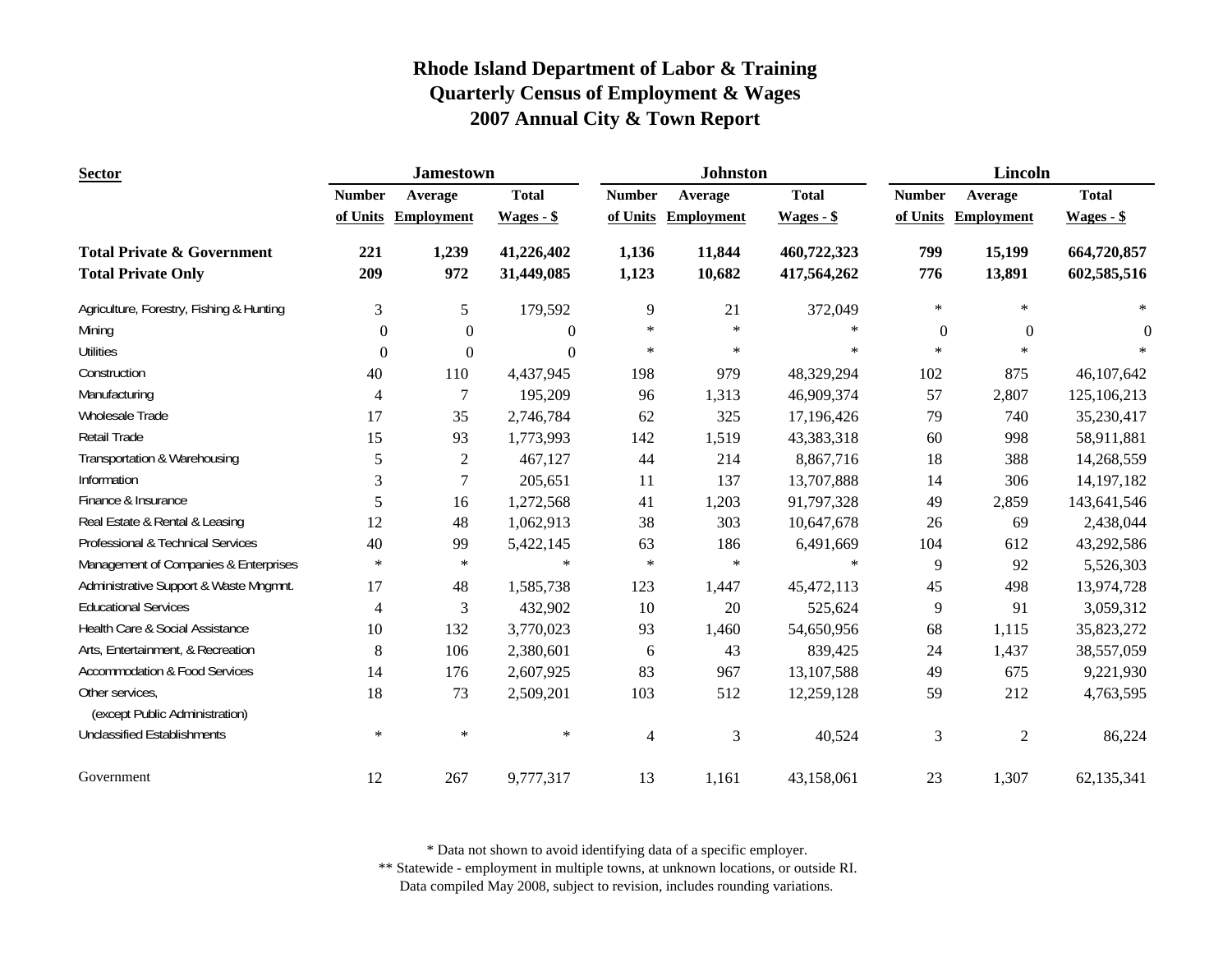| <b>Sector</b>                                     |                | <b>Jamestown</b>    |                  |                | <b>Johnston</b>   |              | Lincoln          |                   |              |
|---------------------------------------------------|----------------|---------------------|------------------|----------------|-------------------|--------------|------------------|-------------------|--------------|
|                                                   | <b>Number</b>  | Average             | <b>Total</b>     | <b>Number</b>  | Average           | <b>Total</b> | <b>Number</b>    | Average           | <b>Total</b> |
|                                                   |                | of Units Employment | $Wages - $$      | of Units       | <b>Employment</b> | $Wages - $$  | of Units         | <b>Employment</b> | $Wages - $$  |
| <b>Total Private &amp; Government</b>             | 221            | 1,239               | 41,226,402       | 1,136          | 11,844            | 460,722,323  | 799              | 15,199            | 664,720,857  |
| <b>Total Private Only</b>                         | 209            | 972                 | 31,449,085       | 1,123          | 10,682            | 417,564,262  | 776              | 13,891            | 602,585,516  |
| Agriculture, Forestry, Fishing & Hunting          | 3              | 5                   | 179,592          | 9              | 21                | 372,049      | $\ast$           | $\ast$            | $\ast$       |
| Mining                                            | $\Omega$       | $\theta$            | $\boldsymbol{0}$ | $\ast$         | $\ast$            | $\ast$       | $\boldsymbol{0}$ | $\overline{0}$    | $\theta$     |
| <b>Utilities</b>                                  | $\overline{0}$ | $\boldsymbol{0}$    | $\overline{0}$   | $\ast$         | $\ast$            | $\ast$       | $\ast$           | $\ast$            |              |
| Construction                                      | 40             | 110                 | 4,437,945        | 198            | 979               | 48,329,294   | 102              | 875               | 46,107,642   |
| Manufacturing                                     | 4              | 7                   | 195,209          | 96             | 1,313             | 46,909,374   | 57               | 2,807             | 125,106,213  |
| Wholesale Trade                                   | 17             | 35                  | 2,746,784        | 62             | 325               | 17,196,426   | 79               | 740               | 35,230,417   |
| <b>Retail Trade</b>                               | 15             | 93                  | 1,773,993        | 142            | 1,519             | 43,383,318   | 60               | 998               | 58,911,881   |
| Transportation & Warehousing                      | 5              | $\overline{2}$      | 467,127          | 44             | 214               | 8,867,716    | 18               | 388               | 14,268,559   |
| Information                                       | 3              | 7                   | 205,651          | 11             | 137               | 13,707,888   | 14               | 306               | 14, 197, 182 |
| Finance & Insurance                               | 5              | 16                  | 1,272,568        | 41             | 1,203             | 91,797,328   | 49               | 2,859             | 143,641,546  |
| Real Estate & Rental & Leasing                    | 12             | 48                  | 1,062,913        | 38             | 303               | 10,647,678   | 26               | 69                | 2,438,044    |
| Professional & Technical Services                 | 40             | 99                  | 5,422,145        | 63             | 186               | 6,491,669    | 104              | 612               | 43,292,586   |
| Management of Companies & Enterprises             | $\ast$         | $\ast$              | $\ast$           | $\ast$         | $\ast$            | $\ast$       | 9                | 92                | 5,526,303    |
| Administrative Support & Waste Mngmnt.            | 17             | 48                  | 1,585,738        | 123            | 1,447             | 45, 472, 113 | 45               | 498               | 13,974,728   |
| <b>Educational Services</b>                       | 4              | 3                   | 432,902          | 10             | 20                | 525,624      | 9                | 91                | 3,059,312    |
| Health Care & Social Assistance                   | 10             | 132                 | 3,770,023        | 93             | 1,460             | 54,650,956   | 68               | 1,115             | 35,823,272   |
| Arts, Entertainment, & Recreation                 | $\,8\,$        | 106                 | 2,380,601        | 6              | 43                | 839,425      | 24               | 1,437             | 38,557,059   |
| <b>Accommodation &amp; Food Services</b>          | 14             | 176                 | 2,607,925        | 83             | 967               | 13,107,588   | 49               | 675               | 9,221,930    |
| Other services,<br>(except Public Administration) | 18             | 73                  | 2,509,201        | 103            | 512               | 12,259,128   | 59               | 212               | 4,763,595    |
| <b>Unclassified Establishments</b>                | $\ast$         | $\ast$              | $\ast$           | $\overline{4}$ | 3                 | 40,524       | 3                | $\overline{2}$    | 86,224       |
| Government                                        | 12             | 267                 | 9,777,317        | 13             | 1,161             | 43,158,061   | 23               | 1,307             | 62,135,341   |

\* Data not shown to avoid identifying data of a specific employer.

\*\* Statewide - employment in multiple towns, at unknown locations, or outside RI.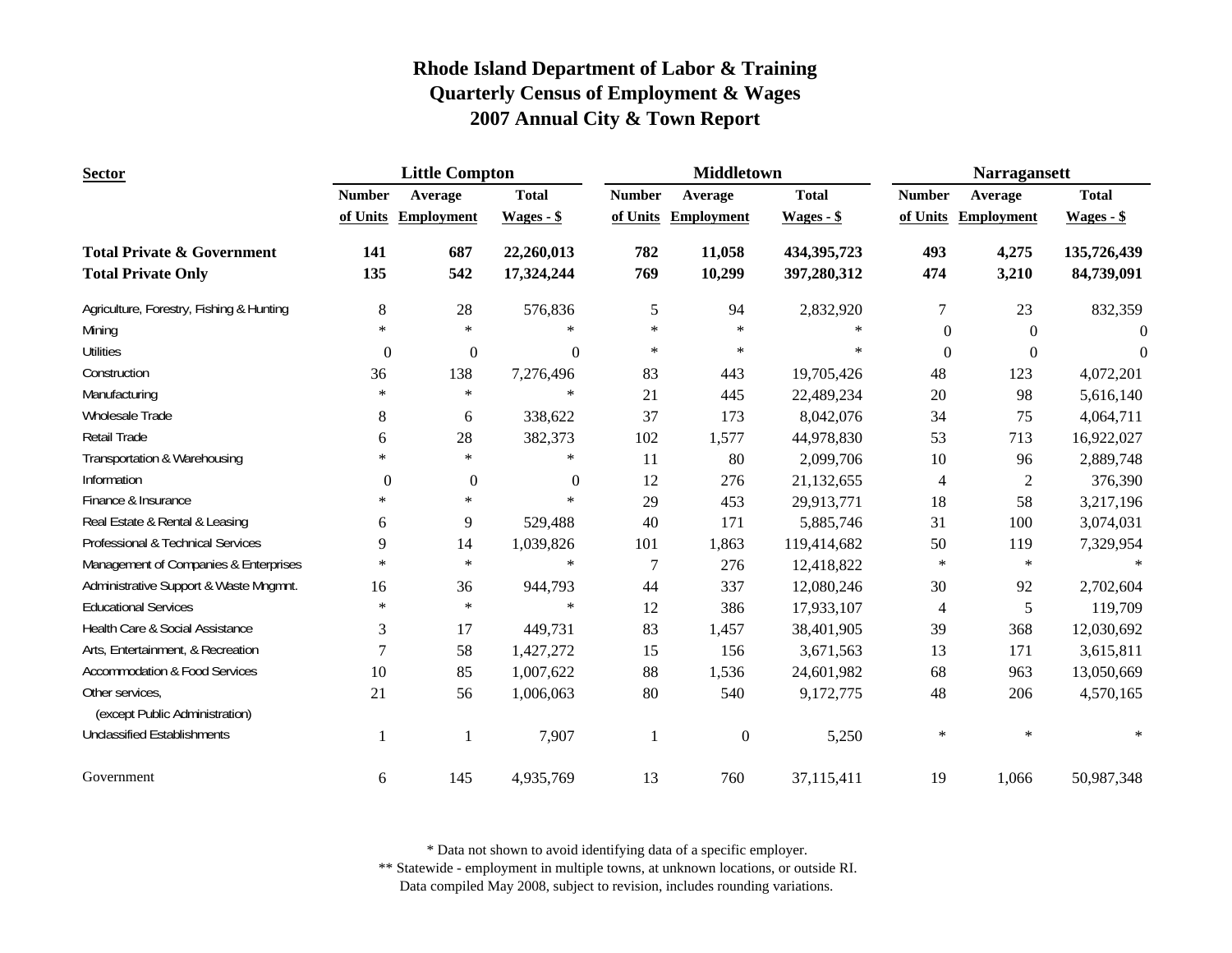| <b>Sector</b>                                     |                | <b>Little Compton</b> |              |                | <b>Middletown</b> |               | <b>Narragansett</b>      |                   |                |
|---------------------------------------------------|----------------|-----------------------|--------------|----------------|-------------------|---------------|--------------------------|-------------------|----------------|
|                                                   | <b>Number</b>  | Average               | <b>Total</b> | <b>Number</b>  | Average           | <b>Total</b>  | <b>Number</b>            | Average           | <b>Total</b>   |
|                                                   | of Units       | <b>Employment</b>     | $Wages - $$  | of Units       | <b>Employment</b> | $Wages - $$   | of Units                 | <b>Employment</b> | $Wages - $$    |
| <b>Total Private &amp; Government</b>             | 141            | 687                   | 22,260,013   | 782            | 11,058            | 434, 395, 723 | 493                      | 4,275             | 135,726,439    |
| <b>Total Private Only</b>                         | 135            | 542                   | 17,324,244   | 769            | 10,299            | 397,280,312   | 474                      | 3,210             | 84,739,091     |
| Agriculture, Forestry, Fishing & Hunting          | 8              | 28                    | 576,836      | 5              | 94                | 2,832,920     | $\tau$                   | 23                | 832,359        |
| Mining                                            | $\ast$         | $\ast$                | $\ast$       | $\ast$         | $\ast$            | $\ast$        | $\Omega$                 | $\theta$          | $\overline{0}$ |
| <b>Utilities</b>                                  | $\mathbf{0}$   | $\boldsymbol{0}$      | $\Omega$     | $\ast$         | $\ast$            | $\ast$        | $\Omega$                 | $\Omega$          | $\Omega$       |
| Construction                                      | 36             | 138                   | 7,276,496    | 83             | 443               | 19,705,426    | 48                       | 123               | 4,072,201      |
| Manufacturing                                     | $\ast$         | $\ast$                | $\ast$       | 21             | 445               | 22,489,234    | 20                       | 98                | 5,616,140      |
| Wholesale Trade                                   | 8              | 6                     | 338,622      | 37             | 173               | 8,042,076     | 34                       | 75                | 4,064,711      |
| Retail Trade                                      | 6              | 28                    | 382,373      | 102            | 1,577             | 44,978,830    | 53                       | 713               | 16,922,027     |
| Transportation & Warehousing                      | $\ast$         | $\ast$                | $\ast$       | 11             | 80                | 2,099,706     | 10                       | 96                | 2,889,748      |
| Information                                       | $\overline{0}$ | $\boldsymbol{0}$      | $\mathbf{0}$ | 12             | 276               | 21,132,655    | $\overline{\mathcal{A}}$ | $\mathfrak{2}$    | 376,390        |
| Finance & Insurance                               | $\ast$         | $\ast$                | $\ast$       | 29             | 453               | 29,913,771    | 18                       | 58                | 3,217,196      |
| Real Estate & Rental & Leasing                    | 6              | 9                     | 529,488      | 40             | 171               | 5,885,746     | 31                       | 100               | 3,074,031      |
| Professional & Technical Services                 | 9              | 14                    | 1,039,826    | 101            | 1,863             | 119,414,682   | $50\,$                   | 119               | 7,329,954      |
| Management of Companies & Enterprises             | $\ast$         | $\ast$                | $\ast$       | $\overline{7}$ | 276               | 12,418,822    | $\ast$                   | $\ast$            | $\ast$         |
| Administrative Support & Waste Mngmnt.            | 16             | 36                    | 944,793      | 44             | 337               | 12,080,246    | 30                       | 92                | 2,702,604      |
| <b>Educational Services</b>                       | $\ast$         | $\ast$                | $\ast$       | 12             | 386               | 17,933,107    | $\overline{4}$           | 5                 | 119,709        |
| Health Care & Social Assistance                   | 3              | 17                    | 449,731      | 83             | 1,457             | 38,401,905    | 39                       | 368               | 12,030,692     |
| Arts, Entertainment, & Recreation                 | $\overline{7}$ | 58                    | 1,427,272    | 15             | 156               | 3,671,563     | 13                       | 171               | 3,615,811      |
| <b>Accommodation &amp; Food Services</b>          | 10             | 85                    | 1,007,622    | 88             | 1,536             | 24,601,982    | 68                       | 963               | 13,050,669     |
| Other services,<br>(except Public Administration) | 21             | 56                    | 1,006,063    | 80             | 540               | 9,172,775     | 48                       | 206               | 4,570,165      |
| <b>Unclassified Establishments</b>                | -1             | 1                     | 7,907        | -1             | $\boldsymbol{0}$  | 5,250         | $\ast$                   | $\ast$            |                |
| Government                                        | 6              | 145                   | 4,935,769    | 13             | 760               | 37,115,411    | 19                       | 1,066             | 50,987,348     |

\* Data not shown to avoid identifying data of a specific employer.

\*\* Statewide - employment in multiple towns, at unknown locations, or outside RI.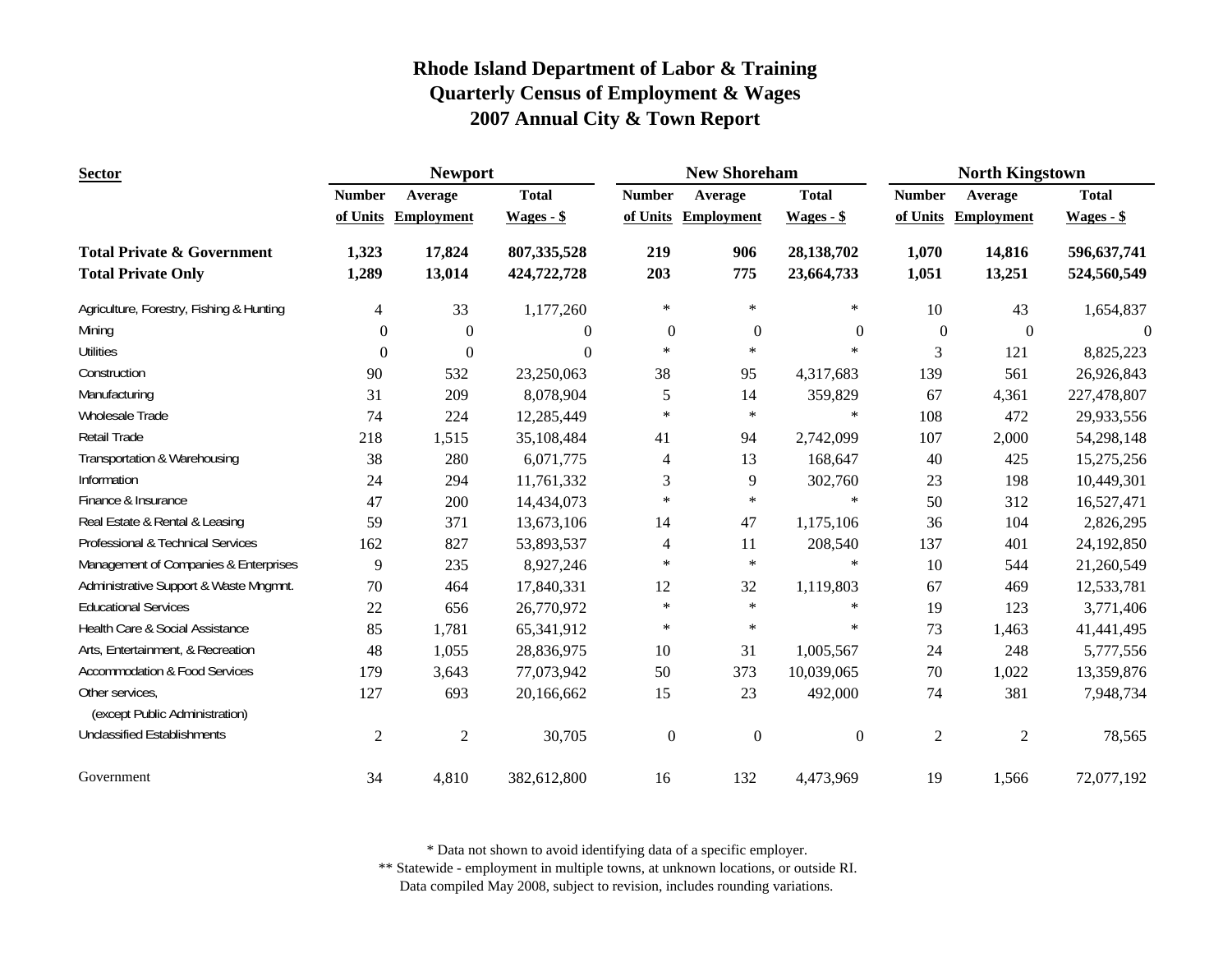| <b>Sector</b>                                                      |                | <b>Newport</b>    |                              |                  | <b>New Shoreham</b> |                          | <b>North Kingstown</b> |                   |                            |
|--------------------------------------------------------------------|----------------|-------------------|------------------------------|------------------|---------------------|--------------------------|------------------------|-------------------|----------------------------|
|                                                                    | <b>Number</b>  | Average           | <b>Total</b>                 | <b>Number</b>    | Average             | <b>Total</b>             | <b>Number</b>          | Average           | <b>Total</b>               |
|                                                                    | of Units       | <b>Employment</b> | $Wages - $$                  |                  | of Units Employment | $Wages - $$              | of Units               | <b>Employment</b> | $Wages - $$                |
| <b>Total Private &amp; Government</b><br><b>Total Private Only</b> | 1,323<br>1,289 | 17,824<br>13,014  | 807, 335, 528<br>424,722,728 | 219<br>203       | 906<br>775          | 28,138,702<br>23,664,733 | 1,070<br>1,051         | 14,816<br>13,251  | 596,637,741<br>524,560,549 |
|                                                                    |                |                   |                              |                  |                     |                          |                        |                   |                            |
| Agriculture, Forestry, Fishing & Hunting                           | 4              | 33                | 1,177,260                    | $\ast$           | $\ast$              | $\ast$                   | 10                     | 43                | 1,654,837                  |
| Mining                                                             | $\theta$       | $\boldsymbol{0}$  | $\theta$                     | $\boldsymbol{0}$ | $\boldsymbol{0}$    | $\boldsymbol{0}$         | $\boldsymbol{0}$       | $\boldsymbol{0}$  | $\Omega$                   |
| <b>Utilities</b>                                                   | $\theta$       | $\mathbf{0}$      | $\theta$                     | $\ast$           | $\ast$              | $\ast$                   | 3                      | 121               | 8,825,223                  |
| Construction                                                       | 90             | 532               | 23,250,063                   | 38               | 95                  | 4,317,683                | 139                    | 561               | 26,926,843                 |
| Manufacturing                                                      | 31             | 209               | 8,078,904                    | 5                | 14                  | 359,829                  | 67                     | 4,361             | 227,478,807                |
| Wholesale Trade                                                    | 74             | 224               | 12,285,449                   | $\ast$           | $\ast$              | $\ast$                   | 108                    | 472               | 29,933,556                 |
| Retail Trade                                                       | 218            | 1,515             | 35,108,484                   | 41               | 94                  | 2,742,099                | 107                    | 2,000             | 54,298,148                 |
| Transportation & Warehousing                                       | 38             | 280               | 6,071,775                    | 4                | 13                  | 168,647                  | 40                     | 425               | 15,275,256                 |
| Information                                                        | 24             | 294               | 11,761,332                   | 3                | 9                   | 302,760                  | 23                     | 198               | 10,449,301                 |
| Finance & Insurance                                                | 47             | 200               | 14,434,073                   | $\ast$           | $\ast$              | $\ast$                   | 50                     | 312               | 16,527,471                 |
| Real Estate & Rental & Leasing                                     | 59             | 371               | 13,673,106                   | 14               | 47                  | 1,175,106                | 36                     | 104               | 2,826,295                  |
| Professional & Technical Services                                  | 162            | 827               | 53,893,537                   | 4                | 11                  | 208,540                  | 137                    | 401               | 24,192,850                 |
| Management of Companies & Enterprises                              | 9              | 235               | 8,927,246                    | $\ast$           | $\ast$              | $\ast$                   | 10                     | 544               | 21,260,549                 |
| Administrative Support & Waste Mngmnt.                             | 70             | 464               | 17,840,331                   | 12               | 32                  | 1,119,803                | 67                     | 469               | 12,533,781                 |
| <b>Educational Services</b>                                        | 22             | 656               | 26,770,972                   | $\ast$           | $\ast$              | $\ast$                   | 19                     | 123               | 3,771,406                  |
| Health Care & Social Assistance                                    | 85             | 1,781             | 65,341,912                   | $\ast$           | $\ast$              | $\ast$                   | 73                     | 1,463             | 41,441,495                 |
| Arts, Entertainment, & Recreation                                  | 48             | 1,055             | 28,836,975                   | 10               | 31                  | 1,005,567                | 24                     | 248               | 5,777,556                  |
| <b>Accommodation &amp; Food Services</b>                           | 179            | 3,643             | 77,073,942                   | 50               | 373                 | 10,039,065               | $70\,$                 | 1,022             | 13,359,876                 |
| Other services,<br>(except Public Administration)                  | 127            | 693               | 20,166,662                   | 15               | 23                  | 492,000                  | 74                     | 381               | 7,948,734                  |
| <b>Unclassified Establishments</b>                                 | $\overline{2}$ | $\mathfrak{2}$    | 30,705                       | $\boldsymbol{0}$ | $\boldsymbol{0}$    | $\boldsymbol{0}$         | $\overline{2}$         | $\overline{2}$    | 78,565                     |
| Government                                                         | 34             | 4,810             | 382,612,800                  | 16               | 132                 | 4,473,969                | 19                     | 1,566             | 72,077,192                 |

\* Data not shown to avoid identifying data of a specific employer.

\*\* Statewide - employment in multiple towns, at unknown locations, or outside RI.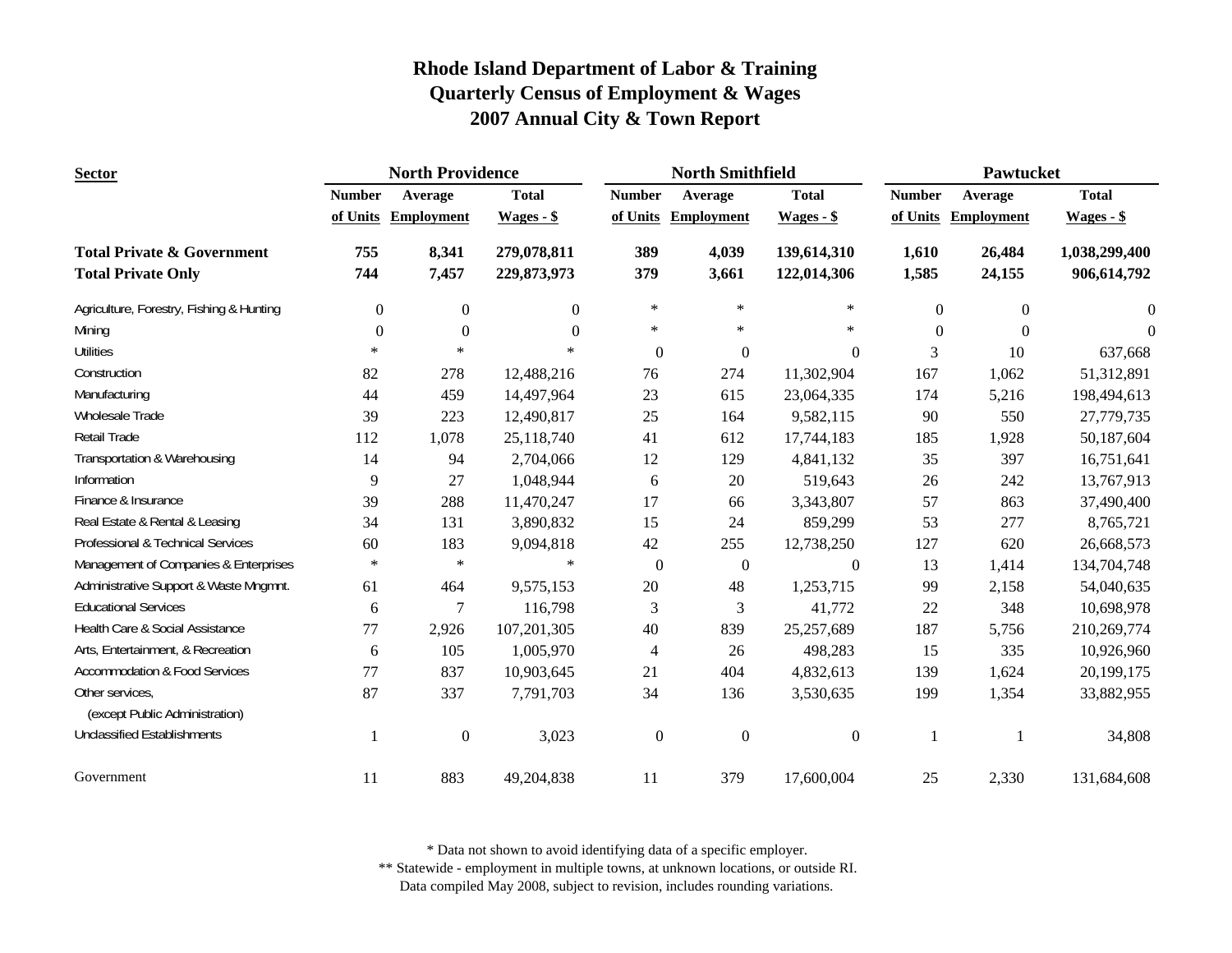| <b>Sector</b>                                     | <b>North Providence</b> |                   |                |                  | <b>North Smithfield</b> |                  | Pawtucket      |                   |               |
|---------------------------------------------------|-------------------------|-------------------|----------------|------------------|-------------------------|------------------|----------------|-------------------|---------------|
|                                                   | <b>Number</b>           | Average           | <b>Total</b>   | <b>Number</b>    | Average                 | <b>Total</b>     | <b>Number</b>  | Average           | <b>Total</b>  |
|                                                   | of Units                | <b>Employment</b> | $Wages - $$    | of Units         | <b>Employment</b>       | $Wages - $$      | of Units       | <b>Employment</b> | $Wages - $$   |
| <b>Total Private &amp; Government</b>             | 755                     | 8,341             | 279,078,811    | 389              | 4,039                   | 139,614,310      | 1,610          | 26,484            | 1,038,299,400 |
| <b>Total Private Only</b>                         | 744                     | 7,457             | 229,873,973    | 379              | 3,661                   | 122,014,306      | 1,585          | 24,155            | 906,614,792   |
| Agriculture, Forestry, Fishing & Hunting          | $\overline{0}$          | $\boldsymbol{0}$  | $\overline{0}$ | $\ast$           | $\ast$                  | $\ast$           | $\overline{0}$ | $\mathbf{0}$      | $\Omega$      |
| Mining                                            | $\Omega$                | $\Omega$          | $\Omega$       | $\ast$           | $\ast$                  | $\ast$           | $\Omega$       | $\theta$          | $\Omega$      |
| <b>Utilities</b>                                  | $\ast$                  | $\ast$            | $\ast$         | $\theta$         | $\overline{0}$          | $\theta$         | 3              | 10                | 637,668       |
| Construction                                      | 82                      | 278               | 12,488,216     | 76               | 274                     | 11,302,904       | 167            | 1,062             | 51,312,891    |
| Manufacturing                                     | 44                      | 459               | 14,497,964     | 23               | 615                     | 23,064,335       | 174            | 5,216             | 198,494,613   |
| Wholesale Trade                                   | 39                      | 223               | 12,490,817     | 25               | 164                     | 9,582,115        | 90             | 550               | 27,779,735    |
| Retail Trade                                      | 112                     | 1,078             | 25,118,740     | 41               | 612                     | 17,744,183       | 185            | 1,928             | 50,187,604    |
| Transportation & Warehousing                      | 14                      | 94                | 2,704,066      | 12               | 129                     | 4,841,132        | 35             | 397               | 16,751,641    |
| Information                                       | 9                       | 27                | 1,048,944      | 6                | 20                      | 519,643          | 26             | 242               | 13,767,913    |
| Finance & Insurance                               | 39                      | 288               | 11,470,247     | 17               | 66                      | 3,343,807        | 57             | 863               | 37,490,400    |
| Real Estate & Rental & Leasing                    | 34                      | 131               | 3,890,832      | 15               | 24                      | 859,299          | 53             | 277               | 8,765,721     |
| Professional & Technical Services                 | 60                      | 183               | 9,094,818      | 42               | 255                     | 12,738,250       | 127            | 620               | 26,668,573    |
| Management of Companies & Enterprises             | $\ast$                  | $\ast$            | $\ast$         | $\boldsymbol{0}$ | $\boldsymbol{0}$        | $\boldsymbol{0}$ | 13             | 1,414             | 134,704,748   |
| Administrative Support & Waste Mngmnt.            | 61                      | 464               | 9,575,153      | $20\,$           | 48                      | 1,253,715        | 99             | 2,158             | 54,040,635    |
| <b>Educational Services</b>                       | 6                       | $\overline{7}$    | 116,798        | 3                | 3                       | 41,772           | 22             | 348               | 10,698,978    |
| Health Care & Social Assistance                   | 77                      | 2,926             | 107,201,305    | 40               | 839                     | 25,257,689       | 187            | 5,756             | 210,269,774   |
| Arts, Entertainment, & Recreation                 | 6                       | 105               | 1,005,970      | 4                | 26                      | 498,283          | 15             | 335               | 10,926,960    |
| <b>Accommodation &amp; Food Services</b>          | 77                      | 837               | 10,903,645     | 21               | 404                     | 4,832,613        | 139            | 1,624             | 20,199,175    |
| Other services,<br>(except Public Administration) | 87                      | 337               | 7,791,703      | 34               | 136                     | 3,530,635        | 199            | 1,354             | 33,882,955    |
| <b>Unclassified Establishments</b>                | -1                      | $\mathbf{0}$      | 3,023          | $\boldsymbol{0}$ | $\boldsymbol{0}$        | $\boldsymbol{0}$ | $\mathbf{1}$   |                   | 34,808        |
| Government                                        | 11                      | 883               | 49,204,838     | 11               | 379                     | 17,600,004       | 25             | 2,330             | 131,684,608   |

\* Data not shown to avoid identifying data of a specific employer.

\*\* Statewide - employment in multiple towns, at unknown locations, or outside RI.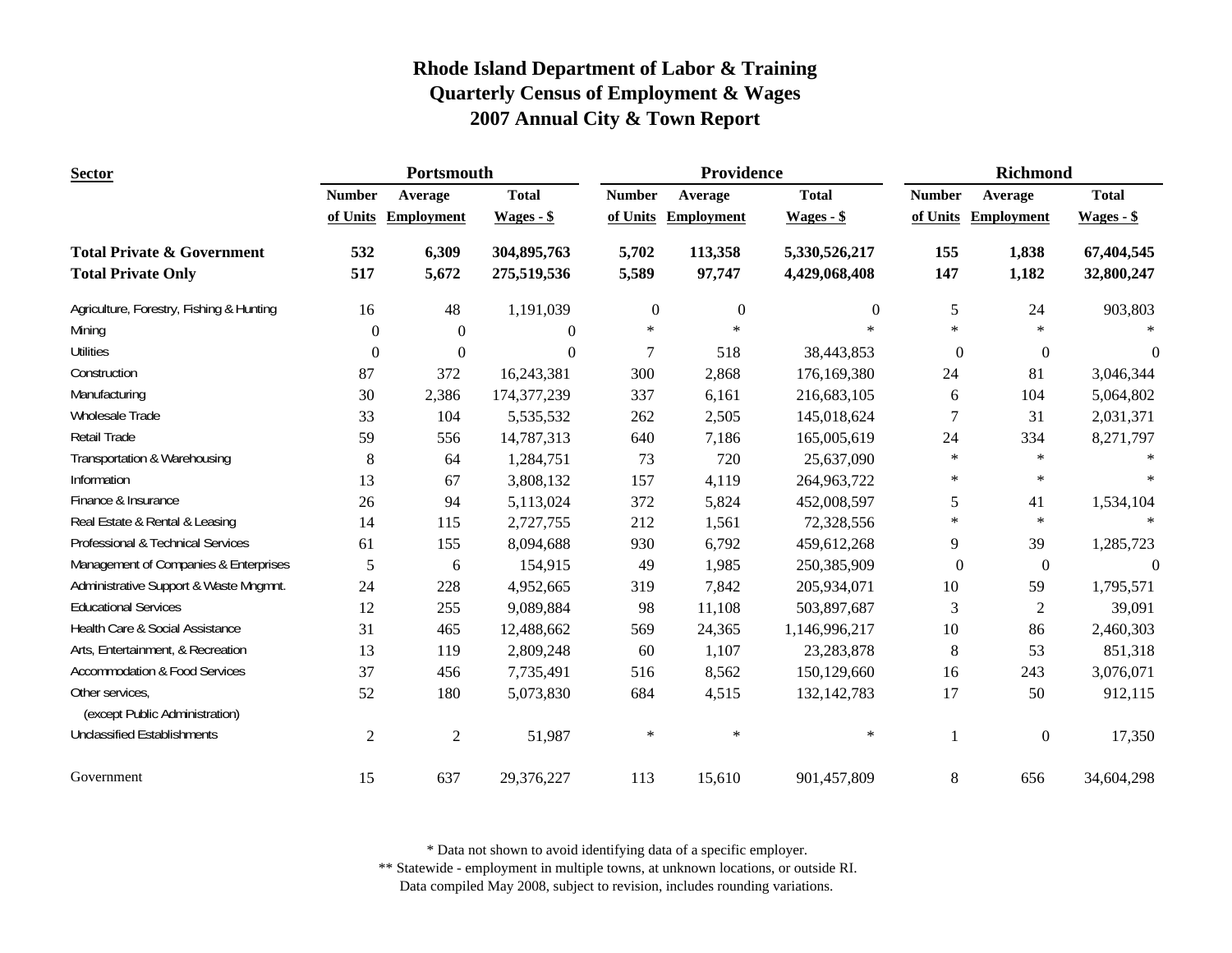| <b>Sector</b>                                     | Portsmouth     |                   |                |                  | Providence        |               | <b>Richmond</b> |                   |                |
|---------------------------------------------------|----------------|-------------------|----------------|------------------|-------------------|---------------|-----------------|-------------------|----------------|
|                                                   | <b>Number</b>  | Average           | <b>Total</b>   | <b>Number</b>    | Average           | <b>Total</b>  | <b>Number</b>   | Average           | <b>Total</b>   |
|                                                   | of Units       | <b>Employment</b> | $Wages - $$    | of Units         | <b>Employment</b> | $Wages - $$   | of Units        | <b>Employment</b> | Wages - \$     |
| <b>Total Private &amp; Government</b>             | 532            | 6,309             | 304,895,763    | 5,702            | 113,358           | 5,330,526,217 | 155             | 1,838             | 67,404,545     |
| <b>Total Private Only</b>                         | 517            | 5,672             | 275,519,536    | 5,589            | 97,747            | 4,429,068,408 | 147             | 1,182             | 32,800,247     |
| Agriculture, Forestry, Fishing & Hunting          | 16             | 48                | 1,191,039      | $\boldsymbol{0}$ | $\boldsymbol{0}$  | $\mathbf{0}$  | 5               | 24                | 903,803        |
| Mining                                            | $\theta$       | $\overline{0}$    | $\overline{0}$ | $\ast$           | $\ast$            | $\ast$        | $\ast$          | $\ast$            |                |
| <b>Utilities</b>                                  | $\Omega$       | $\overline{0}$    | $\theta$       | $\overline{7}$   | 518               | 38,443,853    | $\Omega$        | $\Omega$          | $\Omega$       |
| Construction                                      | 87             | 372               | 16,243,381     | 300              | 2,868             | 176,169,380   | 24              | 81                | 3,046,344      |
| Manufacturing                                     | 30             | 2,386             | 174,377,239    | 337              | 6,161             | 216,683,105   | 6               | 104               | 5,064,802      |
| Wholesale Trade                                   | 33             | 104               | 5,535,532      | 262              | 2,505             | 145,018,624   | 7               | 31                | 2,031,371      |
| <b>Retail Trade</b>                               | 59             | 556               | 14,787,313     | 640              | 7,186             | 165,005,619   | 24              | 334               | 8,271,797      |
| Transportation & Warehousing                      | 8              | 64                | 1,284,751      | 73               | 720               | 25,637,090    | $\ast$          | $\ast$            |                |
| Information                                       | 13             | 67                | 3,808,132      | 157              | 4,119             | 264,963,722   | $\ast$          | $\ast$            |                |
| Finance & Insurance                               | 26             | 94                | 5,113,024      | 372              | 5,824             | 452,008,597   | 5               | 41                | 1,534,104      |
| Real Estate & Rental & Leasing                    | 14             | 115               | 2,727,755      | 212              | 1,561             | 72,328,556    | $\ast$          | $\ast$            | $\ast$         |
| Professional & Technical Services                 | 61             | 155               | 8,094,688      | 930              | 6,792             | 459,612,268   | 9               | 39                | 1,285,723      |
| Management of Companies & Enterprises             | 5              | 6                 | 154,915        | 49               | 1,985             | 250,385,909   | $\mathbf{0}$    | $\boldsymbol{0}$  | $\overline{0}$ |
| Administrative Support & Waste Mngmnt.            | 24             | 228               | 4,952,665      | 319              | 7,842             | 205,934,071   | 10              | 59                | 1,795,571      |
| <b>Educational Services</b>                       | 12             | 255               | 9,089,884      | 98               | 11,108            | 503,897,687   | 3               | $\overline{2}$    | 39,091         |
| Health Care & Social Assistance                   | 31             | 465               | 12,488,662     | 569              | 24,365            | 1,146,996,217 | 10              | 86                | 2,460,303      |
| Arts, Entertainment, & Recreation                 | 13             | 119               | 2,809,248      | 60               | 1,107             | 23, 283, 878  | $8\,$           | 53                | 851,318        |
| <b>Accommodation &amp; Food Services</b>          | 37             | 456               | 7,735,491      | 516              | 8,562             | 150,129,660   | 16              | 243               | 3,076,071      |
| Other services,<br>(except Public Administration) | 52             | 180               | 5,073,830      | 684              | 4,515             | 132, 142, 783 | 17              | 50                | 912,115        |
| <b>Unclassified Establishments</b>                | $\overline{c}$ | $\overline{2}$    | 51,987         | $\ast$           | $\ast$            | $\ast$        |                 | $\boldsymbol{0}$  | 17,350         |
| Government                                        | 15             | 637               | 29,376,227     | 113              | 15,610            | 901,457,809   | $\,8\,$         | 656               | 34,604,298     |

\* Data not shown to avoid identifying data of a specific employer.

\*\* Statewide - employment in multiple towns, at unknown locations, or outside RI.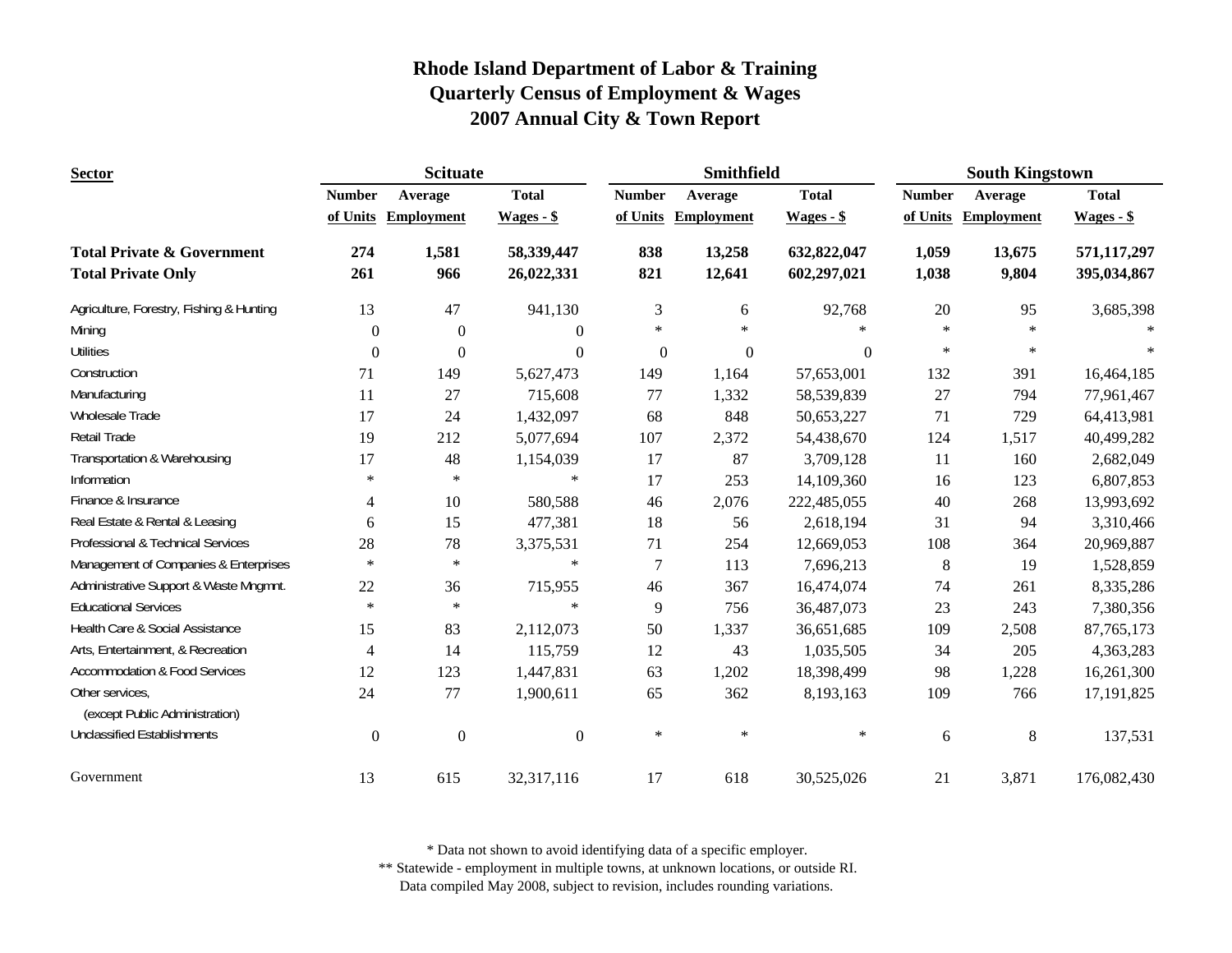| <b>Sector</b>                                     |                  | <b>Scituate</b>   |                  |               | Smithfield        |              | <b>South Kingstown</b> |                     |              |
|---------------------------------------------------|------------------|-------------------|------------------|---------------|-------------------|--------------|------------------------|---------------------|--------------|
|                                                   | <b>Number</b>    | Average           | <b>Total</b>     | <b>Number</b> | Average           | <b>Total</b> | <b>Number</b>          | Average             | <b>Total</b> |
|                                                   | of Units         | <b>Employment</b> | $Wages - $$      | of Units      | <b>Employment</b> | $Wages - $$  |                        | of Units Employment | Wages - \$   |
| <b>Total Private &amp; Government</b>             | 274              | 1,581             | 58,339,447       | 838           | 13,258            | 632,822,047  | 1,059                  | 13,675              | 571,117,297  |
| <b>Total Private Only</b>                         | 261              | 966               | 26,022,331       | 821           | 12,641            | 602,297,021  | 1,038                  | 9,804               | 395,034,867  |
| Agriculture, Forestry, Fishing & Hunting          | 13               | 47                | 941,130          | 3             | 6                 | 92,768       | 20                     | 95                  | 3,685,398    |
| Mining                                            | $\theta$         | $\boldsymbol{0}$  | $\overline{0}$   | $\ast$        | $\ast$            | $\ast$       | $\ast$                 | $\ast$              |              |
| <b>Utilities</b>                                  | $\theta$         | $\Omega$          | $\theta$         | $\mathbf{0}$  | $\boldsymbol{0}$  | $\Omega$     | $\ast$                 | $\ast$              |              |
| Construction                                      | 71               | 149               | 5,627,473        | 149           | 1,164             | 57,653,001   | 132                    | 391                 | 16,464,185   |
| Manufacturing                                     | 11               | 27                | 715,608          | 77            | 1,332             | 58,539,839   | 27                     | 794                 | 77,961,467   |
| Wholesale Trade                                   | 17               | 24                | 1,432,097        | 68            | 848               | 50,653,227   | 71                     | 729                 | 64,413,981   |
| Retail Trade                                      | 19               | 212               | 5,077,694        | 107           | 2,372             | 54,438,670   | 124                    | 1,517               | 40,499,282   |
| Transportation & Warehousing                      | 17               | 48                | 1,154,039        | 17            | 87                | 3,709,128    | 11                     | 160                 | 2,682,049    |
| Information                                       | $\ast$           | $\ast$            | $\ast$           | 17            | 253               | 14,109,360   | 16                     | 123                 | 6,807,853    |
| Finance & Insurance                               | 4                | 10                | 580,588          | 46            | 2,076             | 222,485,055  | 40                     | 268                 | 13,993,692   |
| Real Estate & Rental & Leasing                    | 6                | 15                | 477,381          | 18            | 56                | 2,618,194    | 31                     | 94                  | 3,310,466    |
| Professional & Technical Services                 | 28               | 78                | 3,375,531        | 71            | 254               | 12,669,053   | 108                    | 364                 | 20,969,887   |
| Management of Companies & Enterprises             | $\ast$           | $\ast$            | $\ast$           | $\tau$        | 113               | 7,696,213    | $\,8\,$                | 19                  | 1,528,859    |
| Administrative Support & Waste Mngmnt.            | $22\,$           | 36                | 715,955          | 46            | 367               | 16,474,074   | 74                     | 261                 | 8,335,286    |
| <b>Educational Services</b>                       | $\ast$           | $\ast$            | $\ast$           | 9             | 756               | 36,487,073   | 23                     | 243                 | 7,380,356    |
| Health Care & Social Assistance                   | 15               | 83                | 2,112,073        | 50            | 1,337             | 36,651,685   | 109                    | 2,508               | 87, 765, 173 |
| Arts, Entertainment, & Recreation                 | 4                | 14                | 115,759          | 12            | 43                | 1,035,505    | 34                     | 205                 | 4,363,283    |
| <b>Accommodation &amp; Food Services</b>          | 12               | 123               | 1,447,831        | 63            | 1,202             | 18,398,499   | 98                     | 1,228               | 16,261,300   |
| Other services,<br>(except Public Administration) | 24               | 77                | 1,900,611        | 65            | 362               | 8,193,163    | 109                    | 766                 | 17, 191, 825 |
| <b>Unclassified Establishments</b>                | $\boldsymbol{0}$ | $\boldsymbol{0}$  | $\boldsymbol{0}$ | $\ast$        | $\ast$            | $\ast$       | 6                      | $8\,$               | 137,531      |
| Government                                        | 13               | 615               | 32,317,116       | 17            | 618               | 30,525,026   | 21                     | 3,871               | 176,082,430  |

\* Data not shown to avoid identifying data of a specific employer.

\*\* Statewide - employment in multiple towns, at unknown locations, or outside RI.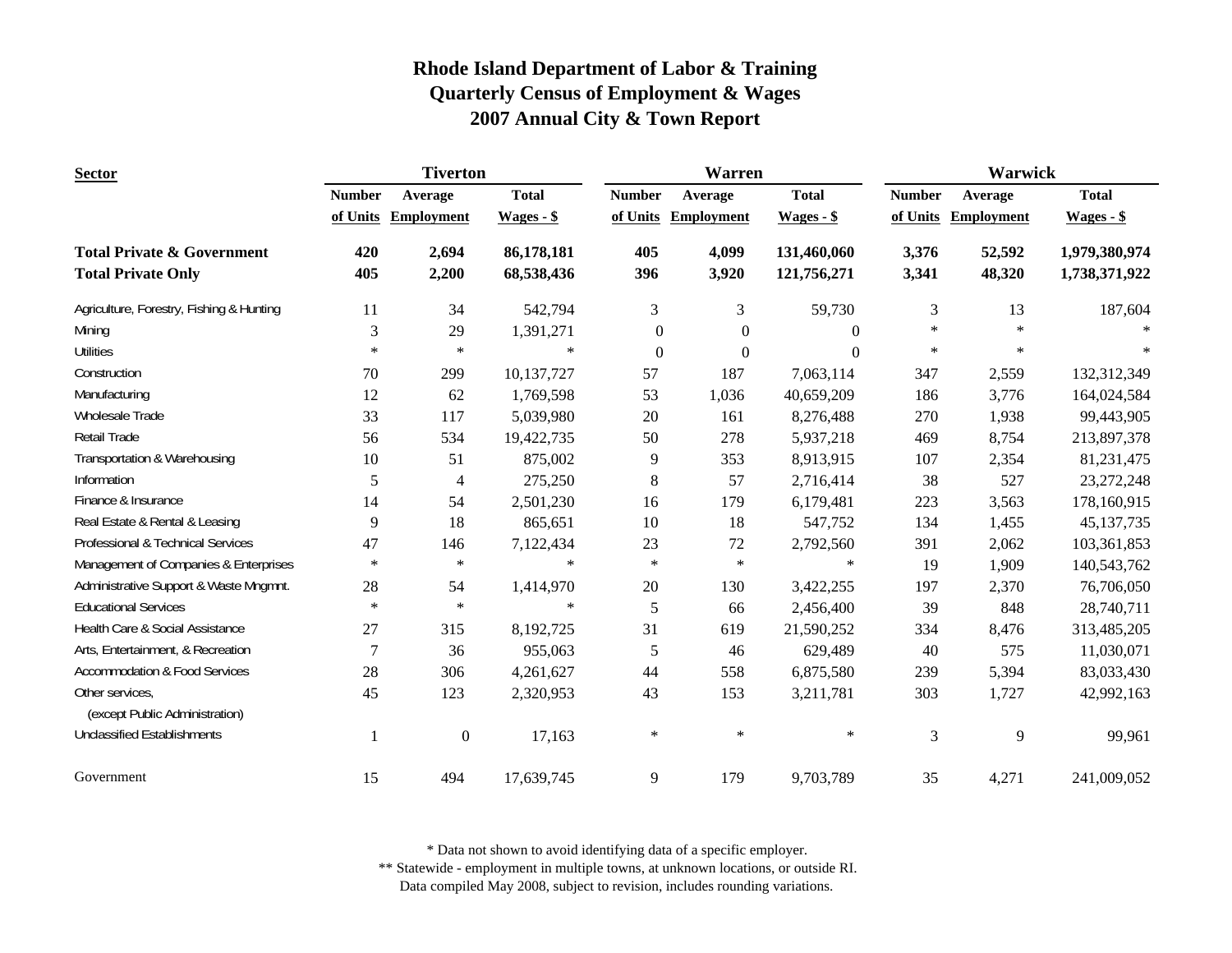| <b>Sector</b>                                                      | <b>Tiverton</b> |                   |                          |                  | Warren            |                            | <b>Warwick</b> |                   |                                |  |
|--------------------------------------------------------------------|-----------------|-------------------|--------------------------|------------------|-------------------|----------------------------|----------------|-------------------|--------------------------------|--|
|                                                                    | <b>Number</b>   | Average           | <b>Total</b>             | <b>Number</b>    | Average           | <b>Total</b>               | <b>Number</b>  | Average           | <b>Total</b>                   |  |
|                                                                    | of Units        | <b>Employment</b> | $Wages - $$              | of Units         | <b>Employment</b> | $Wages - $$                | of Units       | <b>Employment</b> | $Wages - $$                    |  |
| <b>Total Private &amp; Government</b><br><b>Total Private Only</b> | 420<br>405      | 2,694<br>2,200    | 86,178,181<br>68,538,436 | 405<br>396       | 4,099<br>3,920    | 131,460,060<br>121,756,271 | 3,376<br>3,341 | 52,592<br>48,320  | 1,979,380,974<br>1,738,371,922 |  |
| Agriculture, Forestry, Fishing & Hunting                           | 11              | 34                | 542,794                  | 3                | 3                 | 59,730                     | 3              | 13                | 187,604                        |  |
| Mining                                                             | 3               | 29                | 1,391,271                | $\boldsymbol{0}$ | $\boldsymbol{0}$  | $\theta$                   | $\ast$         | $\ast$            |                                |  |
| <b>Utilities</b>                                                   | $\ast$          | $\ast$            | $\ast$                   | $\boldsymbol{0}$ | $\overline{0}$    | $\Omega$                   | $\ast$         | $\ast$            |                                |  |
| Construction                                                       | 70              | 299               | 10,137,727               | 57               | 187               | 7,063,114                  | 347            | 2,559             | 132,312,349                    |  |
| Manufacturing                                                      | 12              | 62                | 1,769,598                | 53               | 1,036             | 40,659,209                 | 186            | 3,776             | 164,024,584                    |  |
| Wholesale Trade                                                    | 33              | 117               | 5,039,980                | 20               | 161               | 8,276,488                  | 270            | 1,938             | 99,443,905                     |  |
| Retail Trade                                                       | 56              | 534               | 19,422,735               | 50               | 278               | 5,937,218                  | 469            | 8,754             | 213,897,378                    |  |
| Transportation & Warehousing                                       | 10              | 51                | 875,002                  | 9                | 353               | 8,913,915                  | 107            | 2,354             | 81,231,475                     |  |
| Information                                                        | 5               | 4                 | 275,250                  | $8\,$            | 57                | 2,716,414                  | 38             | 527               | 23, 272, 248                   |  |
| Finance & Insurance                                                | 14              | 54                | 2,501,230                | 16               | 179               | 6,179,481                  | 223            | 3,563             | 178,160,915                    |  |
| Real Estate & Rental & Leasing                                     | 9               | 18                | 865,651                  | 10               | 18                | 547,752                    | 134            | 1,455             | 45, 137, 735                   |  |
| Professional & Technical Services                                  | 47              | 146               | 7,122,434                | 23               | 72                | 2,792,560                  | 391            | 2,062             | 103,361,853                    |  |
| Management of Companies & Enterprises                              | $\ast$          | $\ast$            | $\ast$                   | $\ast$           | $\ast$            | $\ast$                     | 19             | 1,909             | 140,543,762                    |  |
| Administrative Support & Waste Mngmnt.                             | $28\,$          | 54                | 1,414,970                | $20\,$           | 130               | 3,422,255                  | 197            | 2,370             | 76,706,050                     |  |
| <b>Educational Services</b>                                        | $\ast$          | $\ast$            | $\ast$                   | 5                | 66                | 2,456,400                  | 39             | 848               | 28,740,711                     |  |
| Health Care & Social Assistance                                    | 27              | 315               | 8,192,725                | 31               | 619               | 21,590,252                 | 334            | 8,476             | 313,485,205                    |  |
| Arts, Entertainment, & Recreation                                  | $\overline{7}$  | 36                | 955,063                  | 5                | 46                | 629,489                    | 40             | 575               | 11,030,071                     |  |
| <b>Accommodation &amp; Food Services</b>                           | 28              | 306               | 4,261,627                | 44               | 558               | 6,875,580                  | 239            | 5,394             | 83,033,430                     |  |
| Other services,<br>(except Public Administration)                  | 45              | 123               | 2,320,953                | 43               | 153               | 3,211,781                  | 303            | 1,727             | 42,992,163                     |  |
| <b>Unclassified Establishments</b>                                 | $\mathbf{1}$    | $\mathbf{0}$      | 17,163                   | $\ast$           | $\ast$            | $\ast$                     | 3              | 9                 | 99,961                         |  |
| Government                                                         | 15              | 494               | 17,639,745               | 9                | 179               | 9,703,789                  | 35             | 4,271             | 241,009,052                    |  |

\* Data not shown to avoid identifying data of a specific employer.

\*\* Statewide - employment in multiple towns, at unknown locations, or outside RI.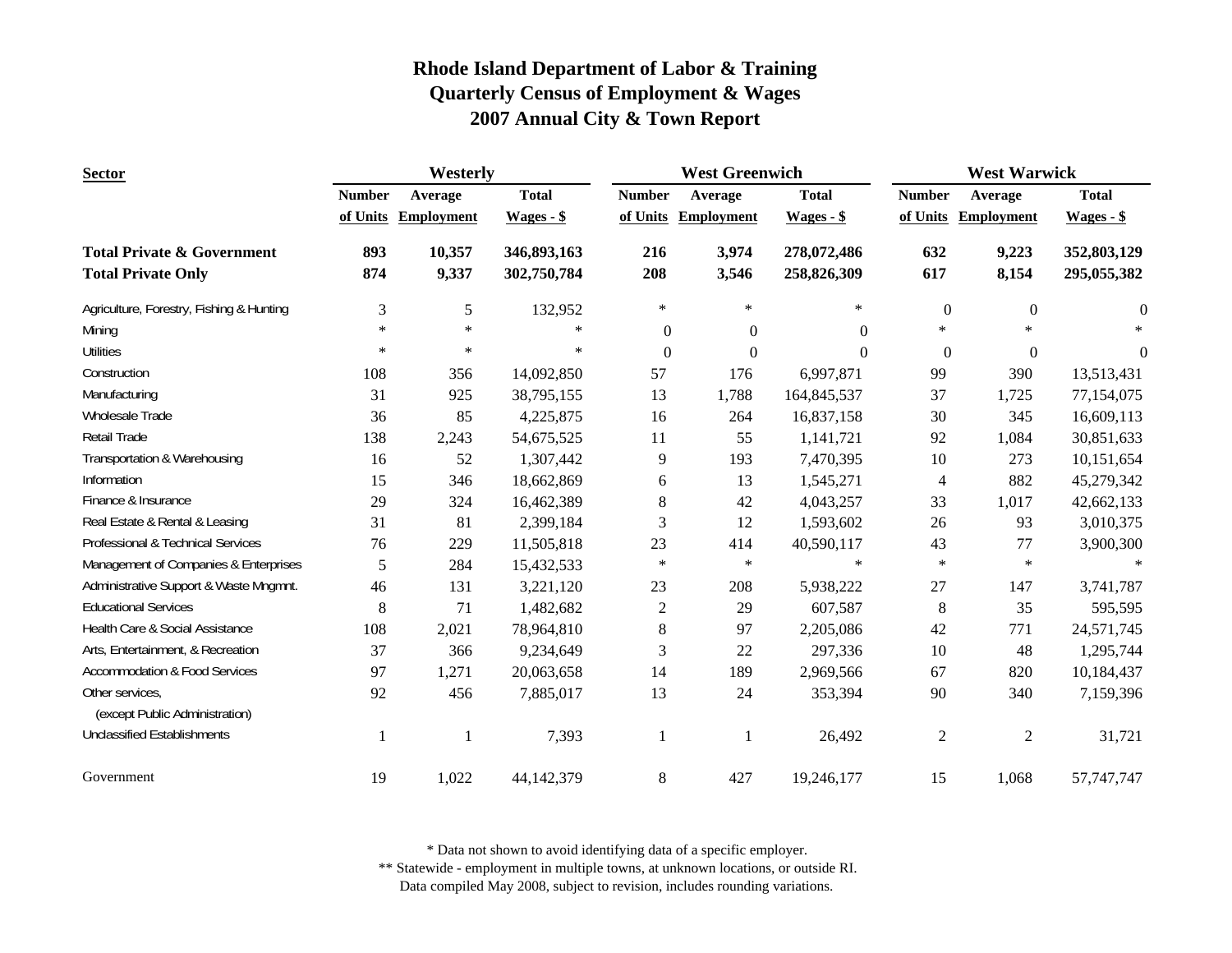| <b>Sector</b>                                     | Westerly      |                   |              | <b>West Greenwich</b> |                   |              | <b>West Warwick</b>      |                   |              |
|---------------------------------------------------|---------------|-------------------|--------------|-----------------------|-------------------|--------------|--------------------------|-------------------|--------------|
|                                                   | <b>Number</b> | Average           | <b>Total</b> | <b>Number</b>         | Average           | <b>Total</b> | <b>Number</b>            | Average           | <b>Total</b> |
|                                                   | of Units      | <b>Employment</b> | $Wages - $$  | of Units              | <b>Employment</b> | $Wages - $$  | of Units                 | <b>Employment</b> | $Wages - $$  |
| <b>Total Private &amp; Government</b>             | 893           | 10,357            | 346,893,163  | 216                   | 3,974             | 278,072,486  | 632                      | 9,223             | 352,803,129  |
| <b>Total Private Only</b>                         | 874           | 9,337             | 302,750,784  | 208                   | 3,546             | 258,826,309  | 617                      | 8,154             | 295,055,382  |
| Agriculture, Forestry, Fishing & Hunting          | 3             | 5                 | 132,952      | $\ast$                | $\ast$            | $\ast$       | $\overline{0}$           | $\Omega$          | $\mathbf{0}$ |
| Mining                                            | $\ast$        | $\ast$            | $\ast$       | $\Omega$              | $\theta$          | $\Omega$     | $\ast$                   | $\ast$            |              |
| <b>Utilities</b>                                  | $\ast$        | $\ast$            | $\ast$       | $\Omega$              | $\Omega$          | $\Omega$     | $\theta$                 | $\overline{0}$    | $\theta$     |
| Construction                                      | 108           | 356               | 14,092,850   | 57                    | 176               | 6,997,871    | 99                       | 390               | 13,513,431   |
| Manufacturing                                     | 31            | 925               | 38,795,155   | 13                    | 1,788             | 164,845,537  | 37                       | 1,725             | 77,154,075   |
| Wholesale Trade                                   | 36            | 85                | 4,225,875    | 16                    | 264               | 16,837,158   | 30                       | 345               | 16,609,113   |
| Retail Trade                                      | 138           | 2,243             | 54,675,525   | 11                    | 55                | 1,141,721    | 92                       | 1,084             | 30,851,633   |
| Transportation & Warehousing                      | 16            | 52                | 1,307,442    | 9                     | 193               | 7,470,395    | 10                       | 273               | 10,151,654   |
| Information                                       | 15            | 346               | 18,662,869   | 6                     | 13                | 1,545,271    | $\overline{\mathcal{L}}$ | 882               | 45,279,342   |
| Finance & Insurance                               | 29            | 324               | 16,462,389   | 8                     | 42                | 4,043,257    | 33                       | 1,017             | 42,662,133   |
| Real Estate & Rental & Leasing                    | 31            | 81                | 2,399,184    | 3                     | 12                | 1,593,602    | 26                       | 93                | 3,010,375    |
| Professional & Technical Services                 | 76            | 229               | 11,505,818   | 23                    | 414               | 40,590,117   | 43                       | 77                | 3,900,300    |
| Management of Companies & Enterprises             | 5             | 284               | 15,432,533   | $\ast$                | $\ast$            | $\ast$       | $\ast$                   | $\ast$            | $\ast$       |
| Administrative Support & Waste Mngmnt.            | 46            | 131               | 3,221,120    | 23                    | 208               | 5,938,222    | 27                       | 147               | 3,741,787    |
| <b>Educational Services</b>                       | 8             | 71                | 1,482,682    | $\mathbf{2}$          | 29                | 607,587      | $\,8\,$                  | 35                | 595,595      |
| Health Care & Social Assistance                   | 108           | 2,021             | 78,964,810   | 8                     | 97                | 2,205,086    | 42                       | 771               | 24,571,745   |
| Arts, Entertainment, & Recreation                 | 37            | 366               | 9,234,649    | 3                     | 22                | 297,336      | 10                       | 48                | 1,295,744    |
| <b>Accommodation &amp; Food Services</b>          | 97            | 1,271             | 20,063,658   | 14                    | 189               | 2,969,566    | 67                       | 820               | 10,184,437   |
| Other services,<br>(except Public Administration) | 92            | 456               | 7,885,017    | 13                    | 24                | 353,394      | 90                       | 340               | 7,159,396    |
| <b>Unclassified Establishments</b>                |               |                   | 7,393        | 1                     | 1                 | 26,492       | $\overline{2}$           | $\overline{2}$    | 31,721       |
| Government                                        | 19            | 1,022             | 44,142,379   | $\,8\,$               | 427               | 19,246,177   | 15                       | 1,068             | 57,747,747   |

\* Data not shown to avoid identifying data of a specific employer.

\*\* Statewide - employment in multiple towns, at unknown locations, or outside RI.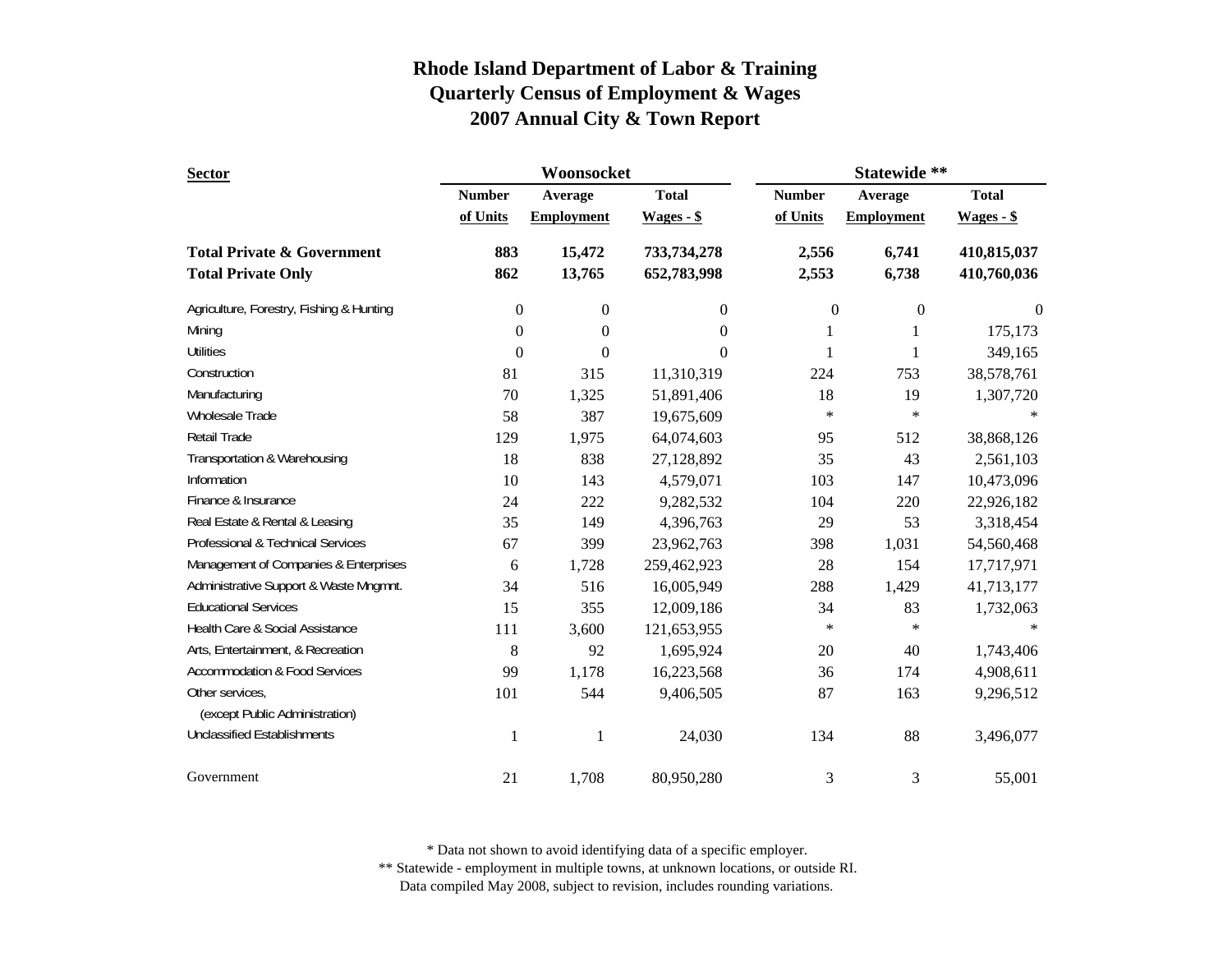| <b>Sector</b>                            |                  | Woonsocket        |                  | Statewide **     |                   |              |  |
|------------------------------------------|------------------|-------------------|------------------|------------------|-------------------|--------------|--|
|                                          | <b>Number</b>    | Average           | <b>Total</b>     | <b>Number</b>    | Average           | <b>Total</b> |  |
|                                          | of Units         | <b>Employment</b> | $Wages - $$      | of Units         | <b>Employment</b> | $Wages - $$  |  |
| <b>Total Private &amp; Government</b>    | 883              | 15,472            | 733,734,278      | 2,556            | 6,741             | 410,815,037  |  |
| <b>Total Private Only</b>                | 862              | 13,765            | 652,783,998      | 2,553            | 6,738             | 410,760,036  |  |
| Agriculture, Forestry, Fishing & Hunting | 0                | $\boldsymbol{0}$  | $\boldsymbol{0}$ | $\boldsymbol{0}$ | $\boldsymbol{0}$  | $\mathbf{0}$ |  |
| Mining                                   | $\boldsymbol{0}$ | $\boldsymbol{0}$  | $\theta$         | 1                |                   | 175,173      |  |
| <b>Utilities</b>                         | $\theta$         | 0                 | $\Omega$         | 1                | 1                 | 349,165      |  |
| Construction                             | 81               | 315               | 11,310,319       | 224              | 753               | 38,578,761   |  |
| Manufacturing                            | 70               | 1,325             | 51,891,406       | 18               | 19                | 1,307,720    |  |
| Wholesale Trade                          | 58               | 387               | 19,675,609       | $\ast$           | $\ast$            |              |  |
| <b>Retail Trade</b>                      | 129              | 1,975             | 64,074,603       | 95               | 512               | 38,868,126   |  |
| Transportation & Warehousing             | 18               | 838               | 27,128,892       | 35               | 43                | 2,561,103    |  |
| Information                              | 10               | 143               | 4,579,071        | 103              | 147               | 10,473,096   |  |
| Finance & Insurance                      | 24               | 222               | 9,282,532        | 104              | 220               | 22,926,182   |  |
| Real Estate & Rental & Leasing           | 35               | 149               | 4,396,763        | 29               | 53                | 3,318,454    |  |
| Professional & Technical Services        | 67               | 399               | 23,962,763       | 398              | 1,031             | 54,560,468   |  |
| Management of Companies & Enterprises    | 6                | 1,728             | 259,462,923      | 28               | 154               | 17,717,971   |  |
| Administrative Support & Waste Mngmnt.   | 34               | 516               | 16,005,949       | 288              | 1,429             | 41,713,177   |  |
| <b>Educational Services</b>              | 15               | 355               | 12,009,186       | 34               | 83                | 1,732,063    |  |
| Health Care & Social Assistance          | 111              | 3,600             | 121,653,955      | $\ast$           | $\ast$            |              |  |
| Arts, Entertainment, & Recreation        | 8                | 92                | 1,695,924        | $20\,$           | 40                | 1,743,406    |  |
| <b>Accommodation &amp; Food Services</b> | 99               | 1,178             | 16,223,568       | 36               | 174               | 4,908,611    |  |
| Other services,                          | 101              | 544               | 9,406,505        | 87               | 163               | 9,296,512    |  |
| (except Public Administration)           |                  |                   |                  |                  |                   |              |  |
| <b>Unclassified Establishments</b>       | 1                | $\mathbf{1}$      | 24,030           | 134              | 88                | 3,496,077    |  |
| Government                               | 21               | 1,708             | 80,950,280       | 3                | 3                 | 55,001       |  |

\* Data not shown to avoid identifying data of a specific employer.

\*\* Statewide - employment in multiple towns, at unknown locations, or outside RI.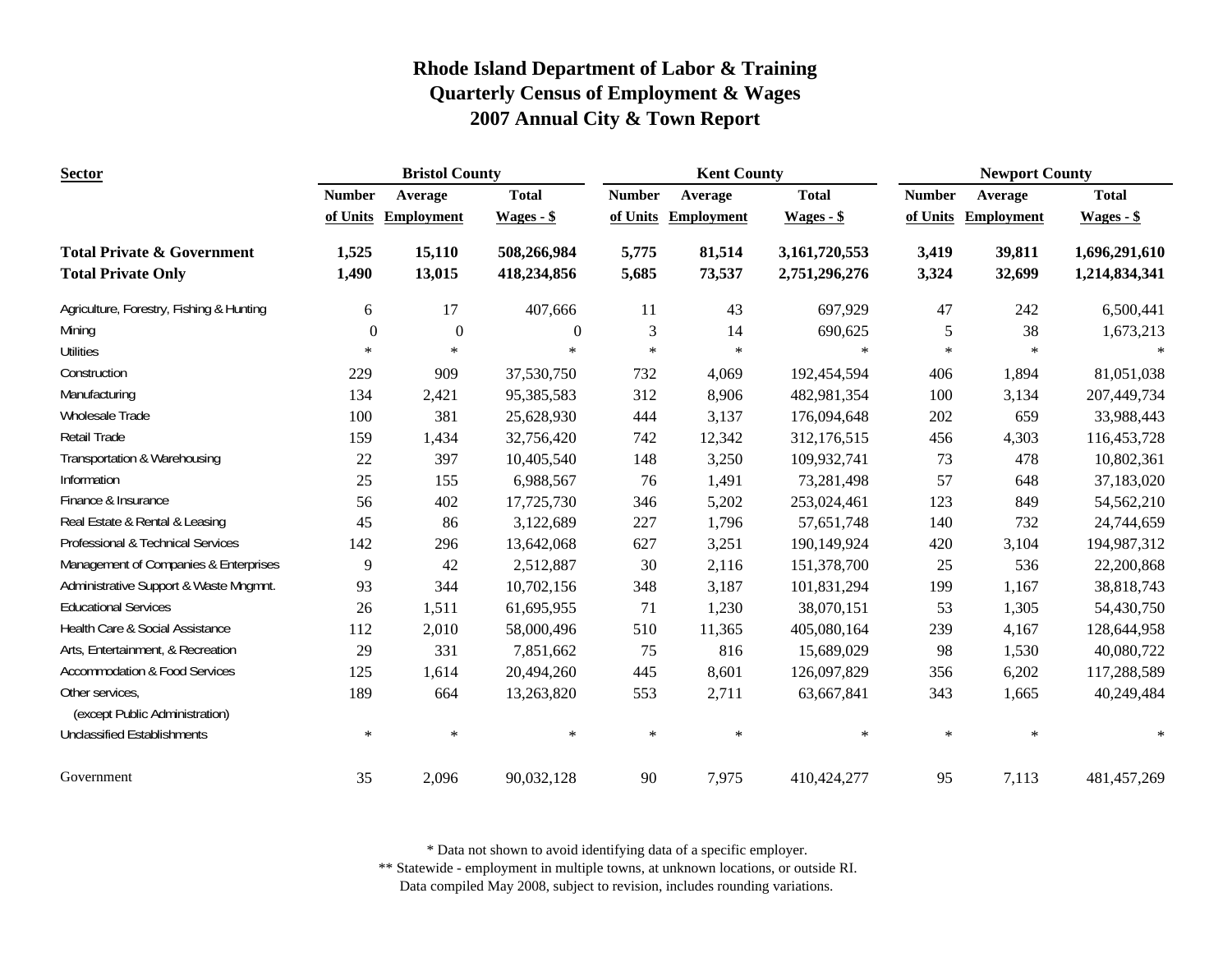| <b>Sector</b>                                                      | <b>Bristol County</b> |                   |                            | <b>Kent County</b> |                   |                                | <b>Newport County</b> |                   |                                |
|--------------------------------------------------------------------|-----------------------|-------------------|----------------------------|--------------------|-------------------|--------------------------------|-----------------------|-------------------|--------------------------------|
|                                                                    | <b>Number</b>         | Average           | <b>Total</b>               | <b>Number</b>      | Average           | <b>Total</b>                   | <b>Number</b>         | Average           | <b>Total</b>                   |
|                                                                    | of Units              | <b>Employment</b> | $Wages - $$                | of Units           | <b>Employment</b> | $Wages - $$                    | of Units              | <b>Employment</b> | $Wages - $$                    |
| <b>Total Private &amp; Government</b><br><b>Total Private Only</b> | 1,525<br>1,490        | 15,110<br>13,015  | 508,266,984<br>418,234,856 | 5,775<br>5,685     | 81,514<br>73,537  | 3,161,720,553<br>2,751,296,276 | 3,419<br>3,324        | 39,811<br>32,699  | 1,696,291,610<br>1,214,834,341 |
| Agriculture, Forestry, Fishing & Hunting                           | 6                     | 17                | 407,666                    | 11                 | 43                | 697,929                        | 47                    | 242               | 6,500,441                      |
| Mining                                                             | $\boldsymbol{0}$      | $\boldsymbol{0}$  | $\Omega$                   | 3                  | 14                | 690,625                        | 5                     | 38                | 1,673,213                      |
| <b>Utilities</b>                                                   | $\ast$                | $\ast$            | $\ast$                     | $\ast$             | $\ast$            | $\ast$                         | $\ast$                | $\ast$            |                                |
| Construction                                                       | 229                   | 909               | 37,530,750                 | 732                | 4,069             | 192,454,594                    | 406                   | 1,894             | 81,051,038                     |
| Manufacturing                                                      | 134                   | 2,421             | 95,385,583                 | 312                | 8,906             | 482,981,354                    | 100                   | 3,134             | 207,449,734                    |
| Wholesale Trade                                                    | 100                   | 381               | 25,628,930                 | 444                | 3,137             | 176,094,648                    | 202                   | 659               | 33,988,443                     |
| Retail Trade                                                       | 159                   | 1,434             | 32,756,420                 | 742                | 12,342            | 312,176,515                    | 456                   | 4,303             | 116,453,728                    |
| Transportation & Warehousing                                       | $22\,$                | 397               | 10,405,540                 | 148                | 3,250             | 109,932,741                    | 73                    | 478               | 10,802,361                     |
| Information                                                        | 25                    | 155               | 6,988,567                  | 76                 | 1,491             | 73,281,498                     | 57                    | 648               | 37,183,020                     |
| Finance & Insurance                                                | 56                    | 402               | 17,725,730                 | 346                | 5,202             | 253,024,461                    | 123                   | 849               | 54,562,210                     |
| Real Estate & Rental & Leasing                                     | 45                    | 86                | 3,122,689                  | 227                | 1,796             | 57,651,748                     | 140                   | 732               | 24,744,659                     |
| Professional & Technical Services                                  | 142                   | 296               | 13,642,068                 | 627                | 3,251             | 190,149,924                    | 420                   | 3,104             | 194,987,312                    |
| Management of Companies & Enterprises                              | 9                     | 42                | 2,512,887                  | 30                 | 2,116             | 151,378,700                    | 25                    | 536               | 22,200,868                     |
| Administrative Support & Waste Mngmnt.                             | 93                    | 344               | 10,702,156                 | 348                | 3,187             | 101,831,294                    | 199                   | 1,167             | 38,818,743                     |
| <b>Educational Services</b>                                        | 26                    | 1,511             | 61,695,955                 | 71                 | 1,230             | 38,070,151                     | 53                    | 1,305             | 54,430,750                     |
| Health Care & Social Assistance                                    | 112                   | 2,010             | 58,000,496                 | 510                | 11,365            | 405,080,164                    | 239                   | 4,167             | 128,644,958                    |
| Arts, Entertainment, & Recreation                                  | 29                    | 331               | 7,851,662                  | 75                 | 816               | 15,689,029                     | 98                    | 1,530             | 40,080,722                     |
| <b>Accommodation &amp; Food Services</b>                           | 125                   | 1,614             | 20,494,260                 | 445                | 8,601             | 126,097,829                    | 356                   | 6,202             | 117,288,589                    |
| Other services,<br>(except Public Administration)                  | 189                   | 664               | 13,263,820                 | 553                | 2,711             | 63,667,841                     | 343                   | 1,665             | 40,249,484                     |
| <b>Unclassified Establishments</b>                                 | $\ast$                | $\ast$            | $\ast$                     | $\ast$             | $\ast$            | $\ast$                         | $\ast$                | $\ast$            | $\ast$                         |
| Government                                                         | 35                    | 2,096             | 90,032,128                 | 90                 | 7,975             | 410,424,277                    | 95                    | 7,113             | 481, 457, 269                  |

\* Data not shown to avoid identifying data of a specific employer.

\*\* Statewide - employment in multiple towns, at unknown locations, or outside RI.